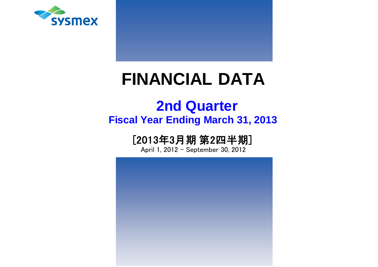

# **FINANCIAL DATA**

## **Fiscal Year Ending March 31, 2013 2nd Quarter**

## [2013年3月期 第2四半期]

April 1, 2012 - September 30, 2012

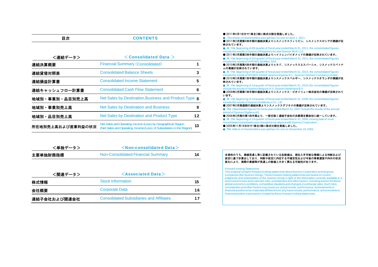| 目次                | <b>CONTENTS</b>                                                                                                                       |    |
|-------------------|---------------------------------------------------------------------------------------------------------------------------------------|----|
| <連結データ>           | $<$ Consolidated Data $>$                                                                                                             |    |
| 連結決算概要            | <b>Financial Summary (Consolidated)</b>                                                                                               |    |
| 連結貸借対照表           | <b>Consolidated Balance Sheets</b>                                                                                                    | 3  |
| 連結損益計算書           | <b>Consolidated Income Statement</b>                                                                                                  | 5  |
| 連結キャッシュフロ一計算書     | <b>Consolidated Cash Flow Statement</b>                                                                                               | 6  |
| 地域別・事業別・品目別売上高    | Net Sales by Destination, Business and Product Type <b>8</b>                                                                          |    |
| 地域別・事業別売上高        | <b>Net Sales by Destination and Business</b>                                                                                          | 9  |
| 地域別・品目別売上高        | Net Sales by Destination and Product Type                                                                                             | 12 |
| 所在地別売上高および営業利益の状況 | Net Sales and Operating Income (Loss) by Geographical Region<br>(Net Sales and Operating Income (Loss) of Subsidiaries in the Region) | 13 |

| <単独データ>  | $\le$ Non-consolidated Data $>$    |    |  |  |  |  |  |  |  |
|----------|------------------------------------|----|--|--|--|--|--|--|--|
| 主要単独財務指標 | Non-Consolidated Financial Summary | 14 |  |  |  |  |  |  |  |
|          |                                    |    |  |  |  |  |  |  |  |

| <関連データ>      | $\leq$ Associated Data $>$                      |    |  |  |  |  |  |  |
|--------------|-------------------------------------------------|----|--|--|--|--|--|--|
| 株式情報         | <b>Stock Information</b>                        | 15 |  |  |  |  |  |  |
| 会社概要         | <b>Corporate Data</b>                           | 16 |  |  |  |  |  |  |
| 連結子会社および関連会社 | <b>Consolidated Subsidiaries and Affiliates</b> | 17 |  |  |  |  |  |  |

| ● 2011年4月1日付で1株を2株に株式分割を実施しました。<br>The shares of shareholders was split two for one on April 1, 2011.<br>● 2011年3月期第4四半期の連結決算よりシスメックスフィリピン、シスメックスロシアの業績が反<br>映されています。                    |
|------------------------------------------------------------------------------------------------------------------------------------------------------------------------------------------|
| At the beginning of 4th quarter of fiscal year ended March 31, 2011, the consolidated figures                                                                                            |
| include the results of Sysmex Philippines Inc and Sysmex RUS LLC.<br>● 2011年3月期第3四半期の連結決算よりハイフェンバイオメッドの業績が反映されています。                                                                      |
| At the beginning of 3rd quarter of fiscal year ended March 31, 2011, the consolidated figures<br>include the results of HYPHEN BioMed, SAS.                                              |
| ● 2010年3月期第4四半期の連結決算よりヒタド、シスメックスエスパーニャ、シスメックスベトナ                                                                                                                                         |
| ムの業績が反映されています。                                                                                                                                                                           |
| At the beginning of 4th quarter of fiscal year ended March 31, 2010, the consolidated figures<br>include the results of HITADO GmbH, Sysmex Espana S.L., Sysmex Vietnam Company Limited. |
| ● 2010年3月期第1四半期の連結決算よりシスメックスベルギー、シスメックスオランダの業績が反                                                                                                                                         |
| 映されています。                                                                                                                                                                                 |
| At the beginning of 1st guarter of fiscal year ended March 31, 2010, the consolidated figures<br>include the results of Sysmex Belgium N.V, Sysmex Nederland B.V.                        |
| ● 2009年3月期第1四半期の連結決算よりシスメックス・ビオメリュ一株式会社の業績が反映されて                                                                                                                                         |
| います。                                                                                                                                                                                     |
| At the beginning of 1st quarter of fiscal year ended March 31, 2009, the consolidated figures<br>include the results of Sysmex bioMerieux Co., Ltd.                                      |
| ● 2007年3月期通期の連結決算よりシスメックスデジタナの業績が反映されています。                                                                                                                                               |
|                                                                                                                                                                                          |
| The consolidated figures for fiscal year ended March 31, 2007 include the results of the annual                                                                                          |
| period of Sysmex Digitana AG.                                                                                                                                                            |
| ● 2006年3月期の第1四半期より、一部を除く連結子会社の決算期を親会社に統一しています。<br>At the beginning of 1st quarter of fiscal year ended March 31, 2006, closing date of most                                              |
| consolidated subsidiaries was changed to be aligned with Sysmex Corporation.                                                                                                             |
| ● 2005年11月18日付で1株を2株に株式分割を実施しました。                                                                                                                                                        |
| The shares of shareholders was split two for one on November 18, 2005.                                                                                                                   |

#### 本資料のうち、業績見通し等に記載されている各数値は、現在入手可能な情報による判断および 仮定に基づき算出しており、判断や仮定に内在する不確定性および今後の事業運営や内外の状況 変化により、実際の業績等が見通しの数値と大きく異なる可能性があります。

#### Forward-looking Statements

This material contains forward-looking statements about Sysmex Corporation and its group companies (the Sysmex Group). These forward-looking statements are based on current<br>judgments and assumptions of the Sysmex Group in light of the information currently available to it,<br>and involve known and unknown risks, global economic conditions, competitive situations and changes in exchange rates. Such risks, uncertainties and other factors may cause our actual results, performance, achievements or financial position to be materially different from any future results, performance, achievements or financial position expressed or implied by these forward-looking statements.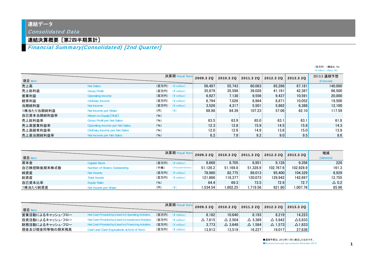## 連結データ

Consolidated Data

## 連結決算概要[第2四半期累計]

Financial Summary(Consolidated) [2nd Quarter]

|            |                                   |                                  |        |                  |                                         |        | $(\frac{4}{5})$ million $(\frac{4}{5})$ |                           |
|------------|-----------------------------------|----------------------------------|--------|------------------|-----------------------------------------|--------|-----------------------------------------|---------------------------|
| 項目 Item    |                                   | 決算期 Fiscal Term                  |        |                  | 2009.3 2Q 2010.3 2Q 2011.3 2Q 2012.3 2Q |        | 2013.3 2Q                               | 2013.3 通期予想<br>(Forecast) |
| 売上高        | Net Sales                         | $($ 百万円 $)$ $($ ¥ million $)$    | 56.497 | 55.743           | 60.063                                  | 65.266 | 67.181                                  | 140,000                   |
| 売上総利益      | <b>Gross Profit</b>               | (百万円)<br>$(\frac{4}{3})$ million | 35,879 | 35.598           | 39.028                                  | 41.191 | 42,387                                  | 86,500                    |
| 営業利益       | Operating Income                  | $($ 百万円 $)$ (\ $\angle$ million) | 6,927  | 7,138            | 9,556                                   | 9,437  | 10.591                                  | 20,000                    |
| 経常利益       | Ordinary Income                   | (百万円)<br>$(*$ million)           | 6.794  | 7.026            | 8.964                                   | 8.871  | 10.052                                  | 19.500                    |
| 当期純利益      | Net Income                        | (百万円)<br>$(*$ million)           | 3.526  | 4.317            | 5.501                                   | 5,862  | 6,388                                   | 12,100                    |
| 1株当たり当期純利益 | Net Income per Share              | (H)<br>$(\yen)$                  | 68.98  | 84.39            | 107.23                                  | 57.06  | 62.10                                   | 117.59                    |
| 自己資本当期純利益率 | Return on Equity [ROE]            | (96)                             |        |                  |                                         |        |                                         |                           |
| 売上総利益率     | <b>Gross Profit per Net Sales</b> | (96)                             | 63.5   | 63.9             | 65.0                                    | 63.1   | 63.1                                    | 61.8                      |
| 売上高営業利益率   | Operating Income per Net Sales    | (96)                             | 12.3   | 12.8             | 15.9                                    | 14.5   | 15.8                                    | 14.3                      |
| 売上高経常利益率   | Ordinary Income per Net Sales     | (96)                             | 12.0   | 12.6             | 14.9                                    | 13.6   | 15.0                                    | 13.9                      |
| 売上高当期純利益率  | Net Income per Net Sales          | (96)                             | 6.2.   | 7.8 <sub>1</sub> | 9.2                                     | 9.0    | 9.5                                     | 8.6                       |

| 項目 Item     |                              |       | 決算期 Fiscal              |          |          | 2009.3 2Q 2010.3 2Q 2011.3 2Q 2012.3 2Q |           | 2013.3 2Q | 増減              |
|-------------|------------------------------|-------|-------------------------|----------|----------|-----------------------------------------|-----------|-----------|-----------------|
| 資本金         | Capital Stock                | (百万円) | $(\frac{2}{3})$ million | 8.668    | 8.705    | 8.951                                   | 9.128     | 9.356     | 228             |
| 自己株控除後期末株式数 | Number of Shares Outstanding | 「千株」  | (thousand shares)       | 51.126.2 | 51.169.8 | 51.328.9                                | 102.767.6 | 102.928.9 | 161.3           |
| 純資産         | <b>Vet Assets</b>            |       | $($ 百万円) $($ ¥ million) | 78,980   | 82.775   | 89.013                                  | 95.400    | 104.329   | 8.929           |
| 総資産         | rotal Assets                 | (百万円) | $(*)$ million)          | 121.866  | 118.377  | 120.073                                 | 129.942   | 142.697   | 12.755          |
| 自己資本比率      | <b>Equity Ratio</b>          | (96)  |                         | 64.4     | 69.3     | 73.5                                    | 72.9      | 72.7      | $\triangle$ 0.2 |
| 1株当たり純資産    | Vet Assets ner Share         | (円)   |                         | 534.54   | 602.25   | .719.56                                 | 921.80    | 1.007.76  | 85.96           |

| 項目               |                                                      |       | 決算期Fi                       |                   |                   | 2009.3 2Q 2010.3 2Q 2011.3 2Q 2012.3 2Q 2013.3 2Q |                |                 |
|------------------|------------------------------------------------------|-------|-----------------------------|-------------------|-------------------|---------------------------------------------------|----------------|-----------------|
| 営業活動によるキャッシュ・フロー | Net Cash Provided by (Used in) Operating Activities  | (百万円) | $\hat{A}$ million)          | 8.182             | 10.640            | 8.193                                             |                | 4.223           |
| 投資活動によるキャッシュ・フロー | Net Cash Provided by (Used in) Investment Activities | (百万円) | $\mathbf{\hat{F}}$ million) | $\triangle$ 7.615 | $\triangle$ 2.504 | $\triangle$ 3.389                                 | $\Delta$ 5.842 | ∆5.8331         |
| 財務活動によるキャッシュ・フロー | Net Cash Provided by (Used in) Financing Activities  | (百万円) | $'$ ¥ million $)$           | 3.773             | $\triangle$ 3.648 | $\triangle$ 1.584                                 | $\Delta$ 1.573 | $\Delta$ 1.8331 |
| 現金及び現金同等物の期末残高   | ash and Cash Equivalents at End of                   | (百万円) | $\angle$ million)           | 13913             | 13.519            | 16.227                                            | 19.017         | 27,636          |

(百万円) (構成比:%)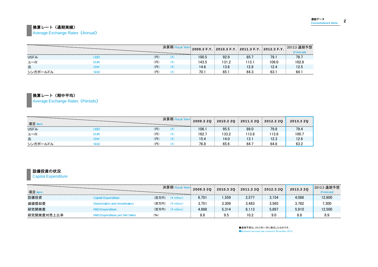#### ■換算レート(通期実績)

**Average Exchange Rates (Annual)** 

|              |     | $\mid$ 2009.3 F.Y. $\mid$ 2010.3 F.Y. $\mid$ 2011.3 F.Y. $\mid$ 2012.3 F.Y. $\mid$ |       |      |       | 2013.3 通期予想 |
|--------------|-----|------------------------------------------------------------------------------------|-------|------|-------|-------------|
| <b>USFIL</b> |     | 100.5                                                                              | 92.9  | 85.  | 79.   | 79.7        |
| ユーロ          |     | 143.5                                                                              | 131.2 | 113. | 109.0 | 102.8       |
| ᇨ            | (円) | 14.6                                                                               | 13.6  | 12.8 | 12.4  | 12.5        |
| シンガボールドル     |     | 70.                                                                                | 65.   | 64.3 | 63.   | <b>b4.</b>  |

換算レート(期中平均)

Average Exchange Rates (Periods)

| 項目       |     | 2009.3 20 | 2010.3 2Q | 2011.3 2Q | 2012.3 20 | 2013.3 2Q<br>--------------- |
|----------|-----|-----------|-----------|-----------|-----------|------------------------------|
| USドル     |     | 106.1     | 95.5      | 89.0      | 79.8      | 79.4                         |
| ューロ      | .m  | 162.7     | 133.2     | 13.8      | 13.8      | 100.                         |
| 元        | (円) | 15.4      | 14.0      | 13.1      | 12.3      | 12.6                         |
| シンガポールドル |     | 76.8      | 65.6      | 64.7      | 64.8      |                              |

#### 設備投資の状況

**Capital Expenditure** 

| 項目         |                               |                                  | 2009.3 20 | 2010.3 2Q | 2011.3 2Q 2012.3 2Q |       | 2013.3 20 | 2013.3 通期予想<br>Forecast) |
|------------|-------------------------------|----------------------------------|-----------|-----------|---------------------|-------|-----------|--------------------------|
| 設備投資       | Capital Expenditure           | (百万円)<br>$(\frac{2}{3})$ million | 6.701     | .559      | 2.577               | 3.154 | 4.086     | 12.600                   |
| 減価償却費      | Depreciation and Amortization | (百万円)<br>$(*)$ million)          | 3.751     | 3.309     | 3.483               | 3.565 | 3.782     | 7,300                    |
| 研究開発費      | <b>R&amp;D Expenditure</b>    | (百万円) (¥ million)                | 4.988     | 5.314     | 6.113               | 5.897 | 5.910     | 12.500                   |
| 研究開発費対売上比率 | R&D Expenditure per Net Sales | (%                               | 8.8       | 9.5       | 10.2                | 9.0   | 8.8       | 8.9                      |

●通期予想は、2012年11月に修正したものです。 ●Business forecast was revised in November 2012.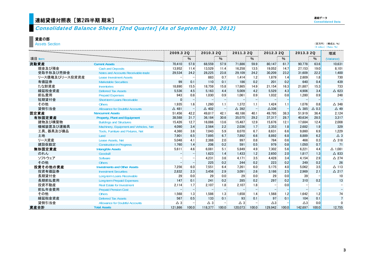## 連結貸借対照表 [第2四半期 期末]

(百万円) (構成比:%) (\ million) (Ratio:%)

## Consolidated Balance Sheets [2nd Quarter] (As of September 30, 2012)

#### 資産の部

Assets Section

|                |                                        |                 | 2009.3 2Q        |                  | 2010.3 2Q        | 2011.3 2Q       |                     | 2012.3 2Q       |       | 2013.3 2Q       |                 | 増減              |
|----------------|----------------------------------------|-----------------|------------------|------------------|------------------|-----------------|---------------------|-----------------|-------|-----------------|-----------------|-----------------|
| 項目 ltem        |                                        |                 | $\%$             |                  | %                |                 | %                   |                 | $\%$  |                 | $\%$            | (Variance)      |
| 流動資産           | <b>Current Assets</b>                  | 70,410          | 57.8             | 68.559           | 57.9             | 71.886          | 59.9                | 80.147          | 61.7  | 90.778          | 63.6            | 10,631          |
| 現金及び預金         | <b>Cash and Deposits</b>               | 13,952          | 11.4             | 13,529           | 11.4             | 16,258          | 13.5                | 19,052          | 14.7  | 27,153          | 19.0            | 8,101           |
| 受取手形及び売掛金      | Notes and Accounts Receivable-trade    | 29,534          | 24.2             | 28,225           | 23.8             | 29,109          | 24.2                | 30,209          | 23.2  | 31.609          | 22.2            | 1,400           |
| リース債権及びリース投資資産 | <b>Lease Investment Assets</b>         |                 |                  | 883              | 0.7              | 1.414           | 1.2.                | 1.879           | 1.4   | 2,609           | 1.8             | 730             |
| 有価証券           | <b>Marketable Securities</b>           | 99              | 0.1              | 110              | 0.1              | 186             | 0.2                 | 201             | 0.2   | 640             | 0.4             | 439             |
| たな卸資産          | <b>Inventories</b>                     | 18,890          | 15.5             | 18.759           | 15.8             | 17.865          | 14.9                | 21.154          | 16.3  | 21,887          | 15.3            | 733             |
| 繰延税金資産         | <b>Deferred Tax Assets</b>             | 5,536           | 4.5              | 5,163            | 4.4              | 5,009           | 4.2                 | 5,529           | 4.3   | 4,906           | 3.4             | $\triangle$ 623 |
| 前払費用           | <b>Prepaid Expenses</b>                | 943             | 0.8.             | 1,030            | 0.9 <sub>1</sub> | 1,061           | $0.9^{\frac{1}{2}}$ | 1,032           | 0.8   | 1,280           | 0.9             | 248             |
| 短期貸付金          | Short-term Loans Receivable            | $\Omega$        |                  |                  |                  |                 |                     |                 |       |                 |                 |                 |
| その他            | <b>Others</b>                          | 1,935           | 16.              | 1,260            | 1.1 <sup>1</sup> | 1,372           | 1.1.                | 1,424           | 1.1   | 1.076.          | 0.8             | $\triangle$ 348 |
| 貸倒引当金          | <b>Allowance for Doubtful Accounts</b> | $\triangle$ 481 |                  | $\triangle$ 402  |                  | $\triangle$ 392 |                     | $\triangle$ 336 |       | $\triangle$ 385 | $\triangle$ 0.3 | $\triangle$ 49  |
| 固定資産           | <b>Noncurrent Assets</b>               | 51,456          | 42.2             | 49,817           | 42.1             | 48,186          | 40.1                | 49,795          | 38.3  | 51,919          | 36.4            | 2,124           |
| 有形固定資産         | <b>Property, Plant and Equipment</b>   | 38,588          | 31.7             | 36,184           | 30.6             | 35,075          | 29.2                | 37,317          | 28.7  | 40.634          | 28.5            | 3,317           |
| 建物及び構築物        | <b>Buildings and Structures</b>        | 15,426          | 12.7             | 16,086           | 13.6             | 15.487          | 12.9                | 15,676          | 12.1  | 17,684          | 12.4            | 2,008           |
| 機械装置及び運搬具      | Machinery, Equipment and Vehicles, Net | 4,090           | 3.4              | 2,564            | 2.2              | 2,036           | 1.7 <sup>1</sup>    | 2,353           | 1.8   | 2,682           | 1.9             | 329             |
| 工具、器具及び備品      | Tools, Furniture and Fixtures, Net     | 4,360           | 3.6              | 7.043            | 5.9              | 8.070           | 6.7.                | 8.631           | 6.6   | 9.860           | 6.9             | 1,229           |
| 土地             | Land                                   | 7,901           | 6.5              | 7,895            | 6.7              | 7,892           | 6.6 <sup>1</sup>    | 8.892           | 6.8   | 8,889           | 6.2             | $\triangle$ 3   |
| リース資産          | Lease Assets, Net                      | 5.048           | 4.1              | 2.388            | 2.0              | 997:            | 0.8                 | 784             | 0.6   | 466             | 0.3             | $\triangle$ 318 |
| 建設仮勘定          | <b>Construction in Progress</b>        | 1,760           | 1.4              | 206 <sup>2</sup> | 0.2              | 591             | 0.5 <sup>1</sup>    | 979             | 0.8   | 1,050           | 0.7             | 71              |
| 無形固定資産         | <b>Intangible Assets</b>               | 5,611           | 4.6              | 6,081            | 5.1              | 5,849           | 4.9                 | 7,302           | 5.6   | 6,221           | 4.4             | $\Delta$ 1,081  |
| のれん            | Goodwill                               |                 |                  | 1,623            | 14               | 1.433           | 1.2                 | 2,650           | 2.0   | 1,817           | 1.3             | $\triangle$ 833 |
| ソフトウェア         | Software                               |                 |                  | 4,231            | 3.6              | 4,171           | 3.5 <sup>1</sup>    | 4,428           | 3.4   | 4,154           | 2.9             | $\triangle$ 274 |
| その他            | <b>Others</b>                          |                 |                  | 225:             | 0.2 <sub>1</sub> | 244             | 0.2                 | 223             | 0.2   | 249             | 0.2             | 26              |
| 投資その他の資産       | <b>Investments and Other Assets</b>    | 7,256           | 6.0              | 7,551            | 6.4              | 7.261           | 6.0                 | 5.175           | 4.0   | 5.062           | 3.5             | $\Delta$ 113    |
| 投資有価証券         | <b>Investment Securities</b>           | 2,832           | 2.3              | 3,456            | 29               | 3,091           | 2.6                 | 3,186           | 2.5   | 2,969           | 2.1             | $\Delta$ 217    |
| 長期貸付金          | Long-term Loans Receivable             | 29              | 0.0 <sub>1</sub> | 29 <sup>1</sup>  | 0.0              | 29              | 0.0.                | 29              | 0.0   | 39              |                 | 10              |
| 長期前払費用         | <b>Long-term Prepaid Expenses</b>      | 147             | 0.1              | 241:             | 0.2              | 285             | 0.2                 | 297             | 0.2   | 310             | 0.2             | 13              |
| 投資不動産          | <b>Real Estate for Investment</b>      | 2,114           | 1.7 <sup>1</sup> | 2.107            | 1.8 <sup>1</sup> | 2.107           | 1.8                 |                 | 0.0   |                 |                 |                 |
| 前払年金費用         | <b>Prepaid Pension Cost</b>            |                 |                  |                  |                  |                 | $-1$                |                 |       |                 |                 |                 |
| その他            | <b>Others</b>                          | 1,568           | 1.3              | 1,586            | 1.3              | 1,658           | 1.4                 | 1,568           | 1.2   | 1,642           | 1.2             | 74              |
| 繰延税金資産         | <b>Deferred Tax Assets</b>             | 567             | 0.5              | 133              | 0.1              | 93              | 0.1                 | 97              | 0.1   | 104             | 0.1             | $\overline{7}$  |
| 貸倒引当金          | <b>Allowance for Doubtful Accounts</b> | $\triangle$ 3   |                  | $\triangle$ 3    |                  | $\triangle$ 3   |                     | $\triangle 3$   |       | $\triangle 3$   | 0.0             |                 |
| 資産合計           | <b>Total Assets</b>                    | 121,866         | 100.0            | 118,377          | 100.0            | 120.073         | 100.0               | 129.942         | 100.0 | 142,697         | 100.0           | 12.755          |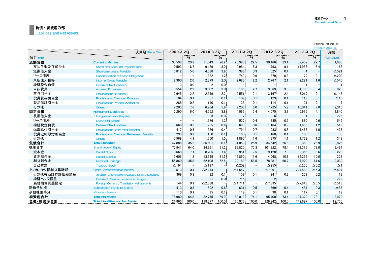#### 負債・純資産の部 Liabilities and Net Assets

|              |                                                       |                 |                  |                   |                   |                   |                                         |                 |       |                |                 | (¥ million) (Ratio: %) |
|--------------|-------------------------------------------------------|-----------------|------------------|-------------------|-------------------|-------------------|-----------------------------------------|-----------------|-------|----------------|-----------------|------------------------|
|              | 決算期 Fiscal Term                                       | 2009.3 2Q       |                  | 2010.3 2Q         |                   | 2011.3 20         |                                         | 2012.3 2Q       |       | 2013.3 2Q      |                 | 増減                     |
| 項目 ltem      |                                                       |                 | %                |                   | $\%$              |                   | %                                       |                 | %     |                | %               | (Variance)             |
| 流動負債         | <b>Current Liabilities</b>                            | 35,596          | 29.2             | 31,049            | 26.2              | 26,995            | 22.5                                    | 30,466          | 23.4  | 32,452         | 22.7            | 1,986                  |
| 支払手形及び買掛金    | Notes and Accounts Payable-trade                      | 10,593          | 8.7 <sup>1</sup> | 9,429             | 8.0 <sub>1</sub>  | 9,984             | 8.3                                     | 11,793          | 9.1   | 11,956         | 8.4             | 163                    |
| 短期借入金        | Short-term Loans Payable                              | 6.812           | 5.6              | 4,638             | 3.9 <sub>1</sub>  | 388               | 0.3 <sub>1</sub>                        | 525             | 0.4   | 4              |                 | $\Delta$ 521           |
| リース債務        | <b>Current Portion of Lease Obligations</b>           |                 |                  | 1,382             | 12                | 749               | 0.6 <sub>1</sub>                        | 379             | 0.3   | 179            | 0.1             | $\triangle$ 200        |
| 未払法人税等       | <b>Income Taxes Pavable</b>                           | 2.390           | 2.0 <sub>1</sub> | 2.379             | 2.0 <sub>1</sub>  | 2.683             | 2.2                                     | 2.767           | 2.1   | 2,221          | 1.6             | $\Delta$ 546           |
| 繰延税金負債       | <b>Deferred Tax Liabilities</b>                       | 3.              | 0.0 <sub>1</sub> | $\mathbf{2}$      | 0.0               |                   | $-$ :                                   |                 |       |                |                 |                        |
| 未払費用         | <b>Accrued Expenses</b>                               | 3,554           | 2.9              | 3,502             | 3.0 <sub>1</sub>  | 3,186             | 2.7                                     | 3,863           | 3.0   | 4,786          | 3.4             | 923                    |
| 賞与引当金        | <b>Provision for Bonuses</b>                          | 2,645           | 2.2 <sup>2</sup> | 2.549             | 2.2 <sup>2</sup>  | 2,551             | 2.1                                     | 3.167           | 2.4   | 3.019          | 2.1             | $\triangle$ 148        |
| 役員賞与引当金      | <b>Provision for Directors' Bonuses</b>               | 104             | 0.1              | 61                | 0.1               | 109               | 0.1                                     | 129             | 0.1   | 119            | 0.1             | $\Delta$ 10            |
| 製品保証引当金      | <b>Provision for Product Warranties</b>               | 288             | 0.2              | 140               | 0.1               | 135               | 0.1                                     | 114             | 0.1   | 121.           | 0.1             |                        |
| その他          | <b>Others</b>                                         | 9,203           | 7.6              | 6.964             | 5.9 <sup>°</sup>  | 7.206             | 6.0                                     | 7,725           | 5.9   | 10.041         | 7.0             | 2.316                  |
| 固定負債         | <b>Noncurrent Liabilities</b>                         | 7,290           | 6.0              | 4,552             | 3.8 <sup>1</sup>  | 4.063             | 3.4                                     | 4,075           | 3.1   | 5,915          | 4.1             | 1,840                  |
| 長期借入金        | Long-term Loans Payable                               |                 |                  | 3 <sup>1</sup>    | 0.0 <sub>1</sub>  | $\overline{2}$    | -1                                      | $6^{\circ}$     |       |                |                 | $\Delta$ 5             |
| リース債務        | <b>Lease Obligations</b>                              |                 |                  | 1,376             | 1.2 <sub>1</sub>  | 527               | 0.4                                     | 335             | 0.3   | 880            | 0.6             | 545                    |
| 繰延税金負債       | <b>Deferred Tax Liabilities</b>                       | 669             | 0.5              | 735               | 0.6 <sub>1</sub>  | 683               | 0.6                                     | 1.164           | 0.9   | 1,683          | 1.2             | 519                    |
| 退職給付引当金      | <b>Provision for Retirement Benefits</b>              | 417             | 0.3              | 526               | 0.4               | 794               | 0.7 <sup>°</sup>                        | 1.033           | 0.8   | 1.466          | 1.0             | 433                    |
| 役員退職慰労引当金    | <b>Provision for Directors' Retirement Benefits</b>   | 233             | 0.2              | 160               | 0.1               | 160               | 0.1                                     | 160             | 0.1   | 160            | 0.1             | $\Omega$               |
| その他          | <b>Others</b>                                         | 5,969           | 4.9 <sup>°</sup> | 1,750             | 1.5 <sup>2</sup>  | 1.895             | 1.6                                     | 1,375           | 1.1   | 1,723          | 1.2             | 348                    |
| 負債合計         | <b>Total Liabilities</b>                              | 42,886          | 35.2             | 35.601            | 30.1              | 31.059            | 25.9                                    | 34,542          | 26.6  | 38,368         | 26.9            | 3.826                  |
| 株主資本         | <b>Shareholders' Equity</b>                           | 77,941          | 64.0             | 84,261            | 71.2              | 92,820            | 77.3                                    | 101.822         | 78.4  | 111,316        | 78.0            | 9,494                  |
| 資本金          | <b>Capital Stock</b>                                  | 8,668           | 7.1              | 8,705             | 7.4 <sup>1</sup>  | 8,951             | 7.5                                     | 9,128           | 7.0   | 9,356          | 6.6             | 228                    |
| 資本剰余金        | <b>Capital Surplus</b>                                | 13,606          | 11.2             | 13.645            | 11.5 <sub>1</sub> | 13.890            | 11.6                                    | 14.068          | 10.8  | 14.296         | 10.0            | 228                    |
| 利益剰余金        | <b>Retained Earnings</b>                              | 55,860          | 45.8             | 62,108            | 52.5              | 70,189            | 58.5                                    | 78,881          | 60.7  | 87,920         | 61.6            | 9,039                  |
| 自己株式         | <b>Treasury Stock</b>                                 | $\triangle$ 194 |                  | $\triangle$ 197   |                   | $\triangle$ 209   | $\begin{array}{c} -1 \\ -1 \end{array}$ | $\triangle$ 255 |       | $\Delta$ 256   | $\Delta$ 0.2    | $\Delta$ 1             |
| その他の包括利益累計額  | Other Comprehensive Income                            | 513             | 0.4 <sup>1</sup> | $\triangle$ 2,274 |                   | $\triangle$ 4,557 |                                         | $\Delta$ 7,091  |       | $\Delta$ 7,588 | $\triangle$ 5.3 | $\triangle$ 497        |
| その他有価証券評価差額金 | Valuation Difference on Available-for-sale Securities | 369             | 0.3 <sub>1</sub> | 92                | 0.1               | 159               | 0.1                                     | 241             | 0.2   | 259            | 0.2             | 18                     |
| 繰延ヘッジ損益      | Deferred Gains or Losses on Hedges                    |                 |                  | 21                | 0.0               | $\Delta 5$        | ۳ļ                                      |                 |       | $\mathbf{0}$   |                 | $\triangle$ 2          |
| 為替換算調整勘定     | <b>Foreign Currency Translation Adjustments</b>       | 144             | 0.11             | $\Delta$ 2,388    |                   | $\Delta$ 4,711    | $-1$                                    | $\Delta$ 7,335  |       | $\Delta$ 7,848 | $\Delta$ 5.5    | $\Delta$ 513           |
| 新株予約権        | <b>Subscription Rights to Shares</b>                  | 413             | 0.3 <sub>1</sub> | 692               | 0.6 <sub>1</sub>  | 631               | 0.5                                     | 569             | 0.4   | 484            | 0.3             | $\triangle 85$         |
| 少数株主持分       | <b>Minority Interests</b>                             | 110             | 0.11             | 95                | 0.1               | 119               | 0.1                                     | 98              | 0.1   | 117            | 0.1             | 19                     |
| 純資産合計        | <b>Total Net Assets</b>                               | 78,980          | 64.8             | 82,775            | 69.9              | 89,013            | 74.1                                    | 95,400          | 73.4  | 104,329        | 73.1            | 8,929                  |
| 負債·純資産合計     | <b>Total Liabilities and Net Assets</b>               | 121.866         | 100.0            | 118.377           | 100.0             | 120.073           | 100.0                                   | 129.942         | 100.0 | 142.697        | 100.0           | 12.755                 |

連結データ インタンクロック Consolidated Data

 $\overline{\mathbf{4}}$ 

(百万円) (構成比:%)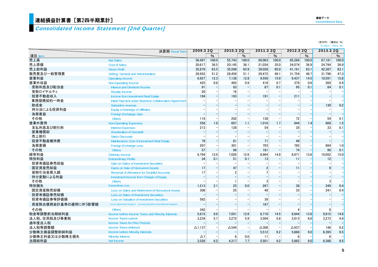## <mark>連結損益計算書[第2四半期累計]</mark>

## Consolidated Income Statement [2nd Quarter]

| 連結データ                    |  |
|--------------------------|--|
| <b>Consolidated Data</b> |  |

|  | (百万円) (構成比:%)                                |
|--|----------------------------------------------|
|  | $(\frac{1}{2})$ million $(\text{Ratio}: 96)$ |
|  |                                              |

|                     | 決算期 Fiscal Term                                                                        | 2009.3 2Q      |                  | 2010.3 2Q       |                  | 2011.3 2Q       |       | 2012.3 2Q       |       | 2013.3 2Q       |                          |
|---------------------|----------------------------------------------------------------------------------------|----------------|------------------|-----------------|------------------|-----------------|-------|-----------------|-------|-----------------|--------------------------|
| 項目 ltem             |                                                                                        |                | $\%$             |                 | $\%$             |                 | $\%$  |                 | $\%$  |                 | %                        |
| 売上高                 | <b>Net Sales</b>                                                                       | 56,497         | 100.0            | 55,743          | 100.0            | 60,063          | 100.0 | 65,266          | 100.0 | 67,181          | 100.0                    |
| 売上原価                | <b>Cost of Sales</b>                                                                   | 20,617         | 36.5             | 20,145          | 36.1             | 21,034          | 35.0  | 24,074          | 36.9  | 24,794          | 36.9                     |
| 売上総利益               | <b>Gross Profit</b>                                                                    | 35,879         | 63.5             | 35,598          | 63.9             | 39,028          | 65.0  | 41,191          | 63.1  | 42,387          | 63.1                     |
| 販売費及び一般管理費          | Selling, General and Administrative                                                    | 28.952         | 51.2             | 28,459          | 51.1             | 29.472          | 49.1  | 31,754          | 48.7  | 31,796          | 47.3                     |
| 営業利益                | Operating Income                                                                       | 6,927          | 12.3             | 7,138           | 12.8             | 9,556           | 15.9  | 9,437           | 14.5  | 10.591          | 15.8                     |
| 営業外収益               | <b>Non-Operating Income</b>                                                            | 425            | 0.8              | 495             | 0.9 <sup>°</sup> | 418             | 0.7   | 379             | 0.6   | 269             | 0.4                      |
| 受取利息及び配当金           | Interest and Dividend Income                                                           | 91             |                  | 83              |                  | 87              | 0.1   | 95              | 0.1   | 84              | 0.1                      |
| 受取ロイヤルティ            | <b>Royalty Income</b>                                                                  | 20             |                  | 16              |                  |                 |       |                 |       |                 |                          |
| 投資不動産収入             | Income from Investment Real Estate                                                     | 194            |                  | 193             |                  | 191             |       | 211             |       |                 | $\frac{1}{1}$            |
| 業務提携契約一時金           | Initial Payment under Business Collaboration Agreement                                 |                |                  |                 |                  |                 |       |                 |       |                 |                          |
| 助成金                 | Subsidize revenue                                                                      |                |                  |                 |                  |                 |       |                 |       | 130             | 0.2                      |
| 持分法による投資利益          | <b>Equity in Earnings of Affiliates</b>                                                |                |                  |                 |                  |                 |       |                 |       |                 |                          |
| 為替差益                | Foreign Exchange Gain                                                                  |                |                  |                 |                  |                 |       |                 |       |                 | $\frac{1}{1}$            |
| その他                 | <b>Others</b>                                                                          | 119            |                  | 202             |                  | 138             |       | 72              |       | 54              | 0.1                      |
| 営業外費用               | <b>Non-Operating Expenses</b>                                                          | 558            | 1.0 <sup>3</sup> | 607             | 1.1              | 1.010           | 1.7   | 944             | 1.4   | 808             | 1.2                      |
| 支払利息及び割引料           | <b>Interest Expenses</b>                                                               | 213            |                  | 128             |                  | 54              |       | 35              |       | 33              | 0.1                      |
| 営業権償却               | <b>Amortization of Goodwill</b>                                                        |                |                  |                 |                  |                 |       |                 |       |                 | $\overline{\phantom{a}}$ |
| 売上割引                | <b>Sales Discounts</b>                                                                 |                |                  |                 |                  |                 |       |                 |       |                 | $\frac{1}{1}$            |
| 投資不動産維持費            | Maintenance Cost of Investment Real Estate                                             | 79             |                  | 81              |                  | 71              |       | 49              |       |                 |                          |
| 為替差損                | <b>Foreign Exchange Loss</b>                                                           | 207            |                  | 301             |                  | 703             |       | 785             |       | 684             | 1.0                      |
| その他                 | <b>Others</b>                                                                          | 57             |                  | 96              |                  | 181             |       | 74              |       | 90              | 0.1                      |
| 経常利益                | Ordinary Income                                                                        | 6.794          | 12.0             | 7,026           | 12.6             | 8,964           | 14.9  | 8.871           | 13.6  | 10.052          | 15.0                     |
| 特別利益                | <b>Extraordinary Profits</b>                                                           | 34             | 0.1              | 51              | 0.1              | 13 <sup>°</sup> |       | 11              |       | 12 <sub>1</sub> | H                        |
| 投資有価証券売却益           | <b>Gain on Sales of Investment Securities</b>                                          |                |                  |                 |                  |                 |       |                 |       |                 |                          |
| 固定資産売却益             | <b>Gains on Sale of Noncurrent Assets</b>                                              | 17             |                  | 47              |                  | $\mathbf{2}$    |       | 11              |       |                 | $\frac{1}{1}$            |
| 貸倒引当金戻入額            | <b>Reversal of Allowance for Doubtful Accounts</b>                                     | 17             |                  | 2               |                  |                 |       |                 |       |                 |                          |
| 持分変動による利益           | Investment Income from Change of Equity                                                |                |                  |                 |                  |                 |       |                 |       |                 |                          |
| その他                 | <b>Others</b>                                                                          |                |                  |                 |                  | 3               |       |                 |       | 3               |                          |
| 特別損失                | <b>Extraordinary Loss</b>                                                              | 1,213          | 2.1              | 25              | 0.0 <sub>1</sub> | 267             |       | 38              |       | 249             | 0.4                      |
| 固定資産除売却損            | Loss on Sales and Retirement of Noncurrent Assets                                      | 308            |                  | 25              |                  | 40              |       | 33              |       | 241             | 0.4                      |
| 投資有価証券売却損           | Loss on Sales of Investment Securities                                                 |                |                  |                 |                  |                 |       |                 |       |                 | ۳                        |
| 投資有価証券等評価損          | <b>Loss on Valuation of Investment Securities</b>                                      | 562            |                  |                 |                  | 39              |       |                 |       |                 |                          |
| 資産除去債務会計基準の適用に伴う影響額 | Loss on Adjustment for Changes of Accounting Standard for Asset Retirement Obligations |                |                  |                 |                  | 187             |       |                 |       |                 |                          |
| その他                 | <b>Others</b>                                                                          | 342            |                  |                 |                  |                 |       |                 |       | 8               |                          |
| 税金等調整前当期純利益         | Income before Income Taxes and Minority Interests                                      | 5.615          | 9.9 <sup>8</sup> | 7.051           | 12.6             | 8.710           | 14.5  | 8.844           | 13.6  | 9,815           | 14.6                     |
| 法人税、住民税及び事業税        | <b>Income Taxes-current</b>                                                            | 3,234          | 5.7              | 3,272           | 5.9              | 3,504           | 5.8   | 3,913           | 6.0   | 3,273           | 4.9                      |
| 過年度法人税              | Income Taxes for Prior Periods                                                         |                |                  |                 |                  |                 |       |                 |       |                 | $\overline{\phantom{0}}$ |
| 法人税等調整額             | Income Taxes-deferred                                                                  | $\Delta$ 1,137 |                  | $\triangle$ 544 |                  | $\Delta 306$    |       | $\triangle$ 937 |       | 146             | 0.2                      |
| 少数株主損益調整前純利益        | Income before Minority Interests                                                       |                |                  |                 |                  | 5,512           | 9.2   | 5,868           | 9.0   | 6,395           | 9.5                      |
| 少数株主利益又は少数株主損失      | <b>Minority Interest</b>                                                               | Δ7             |                  | 6               | 0.0              | 11              |       | 6               |       | 6               |                          |
| 当期純利益               | Net Income                                                                             | 3.526          | 6.2              | 4.317           | 7.7 <sub>z</sub> | 5.501           | 9.2   | 5.862           | 9.0   | 6,388           | 9.5                      |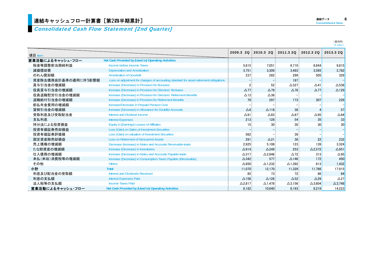#### Consolidated Cash Flow Statement [2nd Quarter]

|                     |                                                                                        |                 |                   |                               |                | $(4$ million)   |
|---------------------|----------------------------------------------------------------------------------------|-----------------|-------------------|-------------------------------|----------------|-----------------|
| 項目 Item             |                                                                                        | 2009.3 2Q       |                   | 2010.3 2Q 2011.3 2Q 2012.3 2Q |                | 2013.3 20       |
| 営業活動によるキャッシュ・フロー    | Net Cash Provided by (Used in) Operating Activities                                    |                 |                   |                               |                |                 |
| 税金等調整前当期純利益         | Income before Income Taxes                                                             | 5.615           | 7,051             | 8,710                         | 8,844          | 9,815           |
| 減価償却費               | <b>Depreciation and Amortization</b>                                                   | 3.751           | 3,309             | 3,483                         | 3,565          | 3,782           |
| のれん償却額              | <b>Amortization of Goodwill</b>                                                        | 237             | 282               | 299                           | 505            | 329             |
| 資産除去債務会計基準の適用に伴う影響額 | Loss on adjustment for changes of accounting standard for asset retirement obligations |                 |                   | 187                           |                |                 |
| 賞与引当金の増減額           | Increase (Decrease) in Provision for Bonuses                                           |                 | 52                | $\triangle$ 327               | $\triangle$ 41 | $\triangle$ 538 |
| 役員賞与引当金の増減額         | Increase (Decrease) in Provision for Directors' Bonuses                                | $\Delta$ 77     | $\triangle$ 79    | $\Delta$ 76                   | $\Delta$ 77    | $\triangle$ 129 |
| 役員退職慰労引当金の増減額       | Increase (Decrease) in Provision for Directors' Retirement Benefits                    | $\Delta$ 13     | $\Delta 36$       |                               |                |                 |
| 退職給付引当金の増減額         | Increase (Decrease) in Provision for Retirement Benefits                               | 70              | 297               | 173                           | 307            | 226             |
| 前払年金費用の増減額          | Increase/Decrease in Prepaid Pension Cost                                              |                 |                   |                               |                |                 |
| 貸倒引当金の増減額           | Increase (Decrease) in Allowance for Doubtful Accounts                                 | $\Delta 8$      | $\Delta$ 118      | 38                            |                | 57              |
| 受取利息及び受取配当金         | Interest and Dividend Income                                                           | $\Delta$ 91     | $\triangle 83$    | $\triangle 87$                | $\triangle$ 95 | $\triangle 84$  |
| 支払利息                | <b>Interest Expenses</b>                                                               | 213             | 128               | 54                            | 35             | 33              |
| 持分法による投資損益          | Equity in (Earnings) Losses of Affiliates                                              | 15              | 30                | 30                            | 30             | 30              |
| 投資有価証券売却損益          | Loss (Gain) on Sales of Investment Securities                                          |                 |                   |                               |                |                 |
| 投資有価証券評価損           | Loss (Gain) on valuation of Investment Securities                                      | 562             |                   | 39                            |                |                 |
| 固定資産除売却損益           | <b>Loss on Retirement of Noncurrent Assets</b>                                         | 291             | $\Delta$ 21       | 38                            | 22             | 232             |
| 売上債権の増減額            | Decrease (Increase) in Notes and Accounts Receivable-trade                             | 2.925           | 5.108             | 123                           | 139            | 3.324           |
| たな卸資産の増減額           | Increase (Decrease) in Inventories                                                     | $\Delta$ 914    | $\triangle$ 249   | 253                           | $\Delta$ 2,572 | $\Delta$ 951    |
| 仕入債務の増減額            | Increase (Decrease) in Notes and Accounts Payable-trade                                | $\Delta$ 317    | $\Delta$ 2.846    | $\Delta$ 72                   | 313            | $\triangle$ 95  |
| 未払(未収)消費税等の増減額      | Increase (Decrease) in Consumption Taxes Payable (Receivable)                          | $\triangle$ 342 | 577               | $\Delta$ 146                  | 172            | 450             |
| その他                 | <b>Others</b>                                                                          | $\triangle 850$ | $\triangle$ 1,232 | $\Delta$ 1,392                | 613            | 1,432           |
| 小計                  | <b>Total</b>                                                                           | 11,070          | 12,170            | 11,329                        | 11,766         | 17,915          |
| 利息及び配当金の受取額         | Interest and Dividends Received                                                        | 85              | 73                | 72                            | 86             | 84              |
| 利息の支払額              | <b>Interest Expenses Paid</b>                                                          | $\Delta$ 156    | $\Delta$ 126      | $\triangle$ 52                | $\triangle$ 29 | $\triangle$ 27  |
| 法人税等の支払額            | <b>Income Taxes Paid</b>                                                               | $\Delta$ 2,817  | $\Delta$ 1,478    | $\Delta$ 3,156                | $\Delta$ 3,604 | $\Delta$ 3,748  |
| 営業活動によるキャッシュ・フロー    | Net Cash Provided by (Used in) Operating Activities                                    | 8.182           | 10.640            | 8.193                         | 8.219          | 14,223          |

(百万円)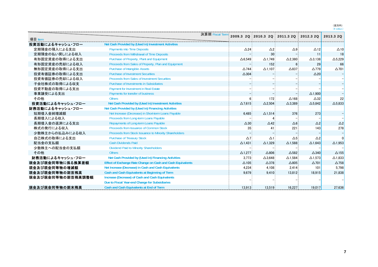(百万円)<br>(¥ million)

|                   |                                                             | 決算期 Fiscal Term |                 | 2009.3 20 2010.3 20 | 2011.3 2Q 2012.3 2Q |                 | 2013.3 20       |
|-------------------|-------------------------------------------------------------|-----------------|-----------------|---------------------|---------------------|-----------------|-----------------|
| 項目 Item           |                                                             |                 |                 |                     |                     |                 |                 |
| 投資活動によるキャッシュ・フロー  | Net Cash Provided by (Used in) Investment Activities        |                 |                 |                     |                     |                 |                 |
| 定期預金の預入による支出      | <b>Payments into Time Deposits</b>                          |                 | $\triangle$ 24  | $\triangle$ 2       | $\triangle$ 9       | $\triangle$ 12  | $\Delta$ 10     |
| 定期預金の払い戻しによる収入    | Proceeds from Withdrawal of Time Deposits                   |                 |                 | 30                  |                     | 11              | 18              |
| 有形固定資産の取得による支出    | Purchase of Property, Plant and Equipment                   |                 | $\Delta$ 6.549  | $\Delta$ 1,749      | $\Delta$ 2,380      | $\Delta$ 3,138  | $\Delta$ 5,229  |
| 有形固定資産の売却による収入    | Proceeds from Sales of Property, Plan and Equipment         |                 |                 | 152                 | 6 <sup>1</sup>      | 29              | 66              |
| 無形固定資産の取得による支出    | Purchase of Intangible Assets                               |                 | $\triangle$ 744 | $\Delta$ 1.107      | $\triangle$ 837     | $\triangle$ 779 | $\Delta$ 701    |
| 投資有価証券の取得による支出    | <b>Purchase of Investment Securities</b>                    |                 | $\triangle 304$ |                     |                     | $\triangle 20$  |                 |
| 投資有価証券の売却による収入    | <b>Proceeds from Sales of Investment Securities</b>         |                 |                 |                     |                     |                 |                 |
| 子会社株式の取得による収支     | Purchase of Investments in Subsidiaries                     |                 |                 |                     |                     |                 |                 |
| 投資不動産の取得による支出     | Payment for Investment in Real Estate                       |                 |                 |                     |                     |                 |                 |
| 事業譲受による支出         | Payments for transfer of business                           |                 |                 |                     |                     | $\Delta$ 1.900  |                 |
| その他               | <b>Others</b>                                               |                 |                 | 172                 | $\Delta$ 168        | $\triangle 32$  | 22              |
| 投資活動によるキャッシュ・フロー  | Net Cash Provided by (Used in) Investment Activities        |                 | $\Delta$ 7.615  | $\triangle$ 2.504   | $\triangle$ 3.389   | $\Delta$ 5.842  | $\Delta$ 5.833  |
| 財務活動によるキャッシュ・フロー  | Net Cash Provided by (Used in) Financing Activities         |                 |                 |                     |                     |                 |                 |
| 短期借入金純増減額         | Net Increase (Decrease) in Short-term Loans Payable         |                 | 6.485           | $\Delta$ 1.514      | 376                 | 273             |                 |
| 長期借入による収入         | Proceeds from Long-term Loans Payable                       |                 |                 |                     |                     |                 |                 |
| 長期借入金の返済による支出     | Repayments of Long-term Loans Payable                       |                 | $\triangle 30$  | $\triangle$ 42      | $\Delta 6$          | $\triangle$ 2   | $\triangle$ 2   |
| 株式の発行による収入        | Proceeds from Issuance of Common Stock                      |                 | 35 <sub>1</sub> | 41                  | 221                 | 143             | 278             |
| 少数株主からの払込みによる収入   | Proceeds from Stock Issuance to Minority Shareholders       |                 |                 |                     |                     |                 |                 |
| 自己株式の取得による支出      | <b>Purchase of Treasury Stock</b>                           |                 | $\Delta$ 7      | $\Delta$ 1          | $\Delta 5$          | $\triangle$ 2   |                 |
| 配当金の支払額           | <b>Cash Dividends Paid</b>                                  |                 | $\Delta$ 1,431: | $\Delta$ 1,329      | $\Delta$ 1,588      | $\Delta$ 1,643  | $\Delta$ 1,953  |
| 少数株主への配当金の支払額     | Dividend Paid to Minority Shareholders                      |                 |                 |                     |                     |                 |                 |
| その他               | <b>Others</b>                                               |                 | $\Delta$ 1.277: | $\triangle 806$     | $\Delta$ 582        | $\triangle$ 340 | $\Delta$ 155    |
| 財務活動によるキャッシュ・フロー  | Net Cash Provided by (Used in) Financing Activities         |                 | 3,773           | $\Delta$ 3,648      | $\Delta$ 1,584      | $\Delta$ 1,573  | $\Delta$ 1,833  |
| 現金及び現金同等物に係る換算差額  | Effect of Exchange Rate Change on Cash and Cash Equivalents |                 | $\Delta$ 105    | $\triangle$ 378     | $\triangle 805$     | $\Delta$ 701    | $\triangle$ 758 |
| 現金及び現金同等物の増減額     | Net Increase (Decrease) in Cash and Cash Equivalents        |                 | 4.234           | 4,108               | 2,414               | 101             | 5,798           |
| 現金及び現金同等物の期首残高    | Cash and Cash Equivalents at Beginning of Term              |                 | 9,679           | 9,410               | 13,812              | 18.915          | 21,838          |
| 現金及び現金同等物の期首残高調整額 | Increase (Decrease) of Cash and Cash Equivalents            |                 |                 |                     |                     |                 |                 |
|                   | Due to Fiscal Year-end Change for Subsidiaries              |                 |                 |                     |                     |                 |                 |
| 現金及び現金同等物の期末残高    | <b>Cash and Cash Equivalents at End of Term</b>             |                 | 13.913          | 13.519              | 16.227              | 19.017          | 27,636          |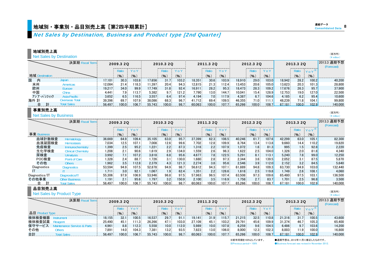## 地域別・事業別・品目別売上高[第2四半期累計] Consolidated Data のおよびのおよび しょうかい しょうかい しょうかい しょうかい しょうかい しょうかい しょうかい しょうかい しょうかい しょうかい

Net Sales by Destination, Business and Product type [2nd Quarter]

#### 地域別売上高

| <b>Net Sales by Destination</b> |                |                              |               |               |       |           |                            |           |           |                  |             |                        |       |        | (日カ門)<br>$(4$ million)    |       |           |               |
|---------------------------------|----------------|------------------------------|---------------|---------------|-------|-----------|----------------------------|-----------|-----------|------------------|-------------|------------------------|-------|--------|---------------------------|-------|-----------|---------------|
|                                 |                | 決算期 Fiscal Term              | 2009.3 20<br> |               |       | 2010.3 2Q |                            |           | 2011.3 20 |                  |             | 2013.3 20<br>2012.3 20 |       |        | 2013.3 通期予想<br>(Forecast) |       |           |               |
|                                 |                |                              |               | Ratio         |       |           |                            |           |           |                  |             |                        |       | Y 0'   |                           | Ratio | $Y_0 Y^*$ |               |
|                                 | 地域 Destination |                              |               | (% )          | %     |           | $\mathcal{C}_{\mathbf{b}}$ | (%)       |           | $($ %)           | (%)<br>ستتب |                        | (%)   | (%)    |                           | (% )  | (% )<br>. |               |
| 国<br>内                          |                | Japan                        | 17.101        | 30.3          | 103.8 | 17.656    | 31.7 <sup>2</sup>          | $103.2 -$ | 18.351    | 30.6             | 103.9       | 18.910                 | 29.0  | 103.0  | 18.942                    | 28.2  | 100.2     | 40.200        |
| 米州                              |                | Americas                     | 12.084        | 21.4          | 118.3 | 1.397     | 20.4                       | 94.3      | 12.815    | 21.3             | 112.4       | 13.453                 | 20.6  | 105.0  | 13.623                    | 20.3  | 101.3     | 28.800        |
| 欧州                              |                | Europe                       | 19.217        | 34.0          | 99.9  | 17.749    | 31.8                       | 92.4      | 16.911    | 28.2             | 95.3        | 18.473                 | 28.3  | 109.2  | 17.676                    | 26.3  | 95.7      | 37.900        |
| 中国                              |                | China                        | 4.441         | 7.9           | 113.7 | 5.382     | 9.7 <sup>°</sup>           | 121.2.    | 7.790     | 13.0             | 144.7       | 10.041                 | 15.4. | 128.9  | 12.753                    | 19.0  | 127.0     | 22.500        |
|                                 | アジア・パシフィック     | Asia-Pacific                 | 3.652         | $6.5^{\circ}$ | 116.5 | 3.557     | $6.4^{\circ}$              | 97.4      | 4.194     | 7.0 <sup>3</sup> | 117.9       | 4.387                  | 6.7   | 104.61 | 4.185                     | 6.2   | 95.4      | 10.600        |
| 海外 計                            |                | Overseas Total               | 39.396        | 69.7          | 107.9 | 38.086    | 68.3                       | 96.7      | 41.712    | 69.4             | 109.5       | 46.355                 | 71.0  | 111.1  | 48.239                    | 71.8  | 104.1     | 99.800        |
|                                 |                | <b>Total Sales</b>           | 56.497        | 100.0         | 106.7 | 55.743    | 100.0                      | 98.7      | 60.063    | 100.0            | 107.7       | 65.266                 | 100.0 | 108.7  | 67.181                    | 100.0 | 102.9     | 140.000       |
|                                 | 事業別売上高         |                              |               |               |       |           |                            |           |           |                  |             |                        |       |        |                           |       |           | (百万円)         |
|                                 |                | <b>Net Sales by Business</b> |               |               |       |           |                            |           |           |                  |             |                        |       |        |                           |       |           | $(4$ million) |

|                | 決算期 Fiscal Term           | 2009.3 20 |                  |       | 2010.3 20 |                                       |       | 2011.3 20 |                  |       |           | 2012.3 20        |        |        | 2013.3 20 | ---------------------------- | 2013.3 通期予想<br>(Forecast) |
|----------------|---------------------------|-----------|------------------|-------|-----------|---------------------------------------|-------|-----------|------------------|-------|-----------|------------------|--------|--------|-----------|------------------------------|---------------------------|
|                |                           |           | Ratio            | Υo    |           | $\mathcal{L}_{\mathrm{max}}$<br>Ratio | YoY   |           |                  | Y o Y |           |                  | $Y_0Y$ |        | Ratic     | $Y_0 Y^*$                    |                           |
| 事業 Business    |                           |           | (9)              | (%)   |           | $\mathcal{P}_{\mathbf{a}}$            | (9)   |           | (%)              | (%)   |           | $(\% )$          | (%     |        | (% )      | (%)                          |                           |
| 血球計数検査         | <b>Hematology</b>         | 36,669    | 64.9             | 109.4 | 35.105    | 63.0                                  | 95.7  | 37.399    | 62.3             | 106.5 | 40.246    | 61.7             | 107.6  | 42.299 | 63.0      | 105.1                        | 82.300                    |
| 血液凝固検査         | <b>Hemostasis</b>         | 7.034     | 12.5             | 107.1 | 7.008     | 12.6                                  | 99.6  | 7.702     | 12.8.            | 109.9 | 8.764     | 13.4             | 13.8   | 9.660  | 14.4.     | 110.21                       | 19.820                    |
| 免疫検査           | <b>Immunochemistry</b>    | .399      | 2.5              | 95.2  | 1.221     | $2.2^{\circ}$                         | 87.3  | 1.318     | 2.2%             | 107.9 | $1.072 -$ | 1.6              | 81.3   | 995    | 1.5       | 92.8                         | 2.220                     |
| 生化学検査          | <b>Clinical Chemistry</b> | .208.     | 2.1              | 90.6  | 1.619     | 2.9                                   | 134.0 | 1.559     | 2.6              | 96.3  | 1,622     | 2.5              | 104.0  | 1.326  | 2.0       | 81.8                         | 4.340                     |
| 尿検査            | <b>Urinalysis</b>         | 3.992     | 7.1              | 107.2 | 3.818     | 6.8                                   | 95.6  | 4.677     | 7.8 <sub>3</sub> | 122.5 | 5.291     | 8.1              | 113.1  | 5.240  | 7.8       | 99.0                         | 12.250                    |
| POC検査          | Point of Care             | .328      | 2.4              | 88.7  | 1.726     | 3.1                                   | 130.0 | 1,680     | 2.8              | 97.3  | 2,344     | 3.6 <sub>1</sub> | 139.5  | 2.052  | 3.1       | 87.5                         | 5.870                     |
| その他            | <b>Others</b>             | 1,962     | $3.5^{\circ}$    | 112.8 | 2,379     | 4.3 <sup>°</sup>                      | 121.3 | 2.274     | 3.8 <sup>3</sup> | 95.6  | 2.546     | 3.9.             | 112.0  | 2.152  | 3.2       | 84.5                         | 5.640                     |
| Diagnostics    | <b>Diagnostics</b>        | 53,594    | 94.9             | 107.5 | 52.878    | 94.9                                  | 98.7  | 56.612    | 94.3             | 107.1 | 61.889    | 94.8             | 109.3  | 63.730 | 94.9      | 103.0                        | 132.440                   |
|                |                           | 1.711     | 3.0 <sub>1</sub> | 92.1  | 1.067     | $1.9-$                                | 62.4  | 1.351     | 2.2              | 126.6 | 1.618     | 2.5 <sup>2</sup> | 119.8  | 1.749  | 2.6       | 108.1                        | 4.060                     |
| Diagnostics/IT | Diagnostics/IT            | 55.306    | 97.9             | 106.9 | 53.946    | 96.8                                  | 97.5  | 57.963    | 96.5             | 107.4 | 63.508    | 97.3             | 109.6  | 65.480 | 97.5      | 103.1                        | 136.500                   |
| その他事業          | <b>Other Business</b>     | 1,191     | 2.1              | 95.6  | 1.797     | 3.2 <sub>1</sub>                      | 150.9 | 2.100     | 3.5              | 116.9 | 1.758     | 2.7 <sup>1</sup> | 83.7   | 1.701  | 2.5       | 96.8                         | 3.500                     |
| 合              | <b>Total Sales</b>        | 56.497    | 100.0            | 106.7 | 55.743    | 100.0                                 | 98.7  | 60.063    | $100.0$ :        | 107.7 | 65.266    | 100.0            | 108.7  | 67.181 | 100.01    | 102.9 l                      | 140.000                   |

#### 品目別売上高

#### Net Sales by Product Type

|        | 決算期 | 2009.3 20 |                                 |        | 2010.3 20 |                                |        | 2011.3 20 |       |       |        | 2012.3 20                     |       |        | 2013.3 2Q |       | 2013.3 通期予想<br>(Forecast) |
|--------|-----|-----------|---------------------------------|--------|-----------|--------------------------------|--------|-----------|-------|-------|--------|-------------------------------|-------|--------|-----------|-------|---------------------------|
|        |     |           | ------------------------------- |        |           | ------------------------------ |        |           |       |       |        | ----------------------------- |       |        |           |       |                           |
| 品目     |     |           | (9/6)                           | (%     |           | (%)                            | (%     |           | (9)   | (% )  |        | ′%                            | (%    |        | (%)       | (9)   |                           |
| 検体検査機器 |     | 18.155    | 32.1                            | 100.5. | 16.537    | 29.7                           | 91.1   | 19.141    | 31.9  | 115.7 | 21.215 | 32.5                          | 10.8  | 21.316 | 31.7      | 100.5 | 43.600                    |
| 検体検査試薬 |     | 25.490    | 45.1                            | 11.3.  | 26.266    |                                | 103.0. | 27.109    | 45.1  | 103.2 | 29.791 | 45.6                          | 109.9 | 31.374 | 46.7      | 105.3 | 65.400                    |
| 保守サービス |     | 4,961     | 8.8                             | 112.3  | 5.558     | 10.0 <sub>1</sub>              | 112.0  | 5.989     | 10.0  | 107.8 | 6.259  | 9.6                           | 104.5 | 6.486  | 9.7       | 103.6 | 14.200                    |
| その他    |     | '.891     | 14.0.                           | 104.3  | 7.381     | $13.2^{\circ}$                 | 93.5   | 7.823     | 13.0: | 106.0 | 8.000  | $12.3 -$                      | 102.3 | 8.003  | $11.9 -$  | 100.0 | 16.800                    |
| 合計     |     | 56.497    | 100.0                           | 106.7  | 55.743    | 100.0                          | 98.7   | 60.063    | 100.0 | 107.7 | 65.266 | 100.0                         | 108.7 | 67.181 | 100.0     | 102.9 | 140.000                   |

※前年同期を100%としています。 ●通期予想は、2012年11月に修正したものです。 ※Previous period = 100% ●Business forecast was revised in November 2012.

(百万円) $(\frac{4}{\pi})$  million)

(百万円)  $(\frac{y}{x})$  million)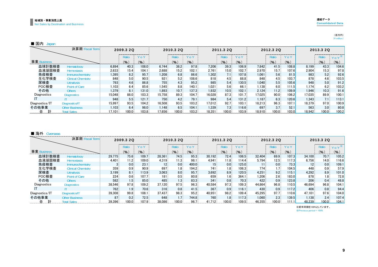(百万円) $(\frac{1}{2})$  million)

| ■ 国内<br>lapar  |                           |           |                  |       |           |                   |       |        |           |       |        |                  |       |        |                  |                    |
|----------------|---------------------------|-----------|------------------|-------|-----------|-------------------|-------|--------|-----------|-------|--------|------------------|-------|--------|------------------|--------------------|
|                | 決算期 Fiscal Term           | 2009.3 20 |                  |       | 2010.3 2Q |                   |       |        | 2011.3 20 |       |        | 2012.3 20        |       |        | 2013.3 20        |                    |
|                |                           |           | Ratio            | ΥoΥ   |           | Ratic             | V O   |        |           | ΥoΥ   |        | Ratio            | ′ 0 ነ |        | Ratic            |                    |
| 事業 Business    |                           |           | (%)              | (%)   |           | (9)               | (9)   |        | (%)       | (9)   |        | (%)              | (9)   |        | $($ % $)$        | $\gamma$           |
| 血球計数検査         | <b>Hematology</b>         | 6.894     | 40.3             | 108.0 | 6.744     | 38.2              | 97.8  | 7.206  | 39.3      | 106.9 | 7.842  | 41.5             | 108.8 | 8.199  | 43.3             | 104.6              |
| 血液凝固検査         | <b>Hemostasis</b>         | 2.633     | 15.4             | 104.1 | 2.688     | 15.2 <sub>1</sub> | 102.1 | 2.761  | $15.0 -$  | 102.7 | 2.970  | 15.7             | 107.6 | 2.904  | 15.3             | 97.8               |
| 免疫検査           | Immunochemistry           | .395      | 8.2              | 95.7  | 1.208     | 6.8 <sub>1</sub>  | 86.6  | 1.302  | 7.1       | 107.8 | 1.061  | 5.6 <sub>1</sub> | 81.5  | 983    | 5.2              | 92.6               |
| 生化学検査          | <b>Clinical Chemistry</b> | 848       | 5.0              | 90.5  | 921       | 5.2 <sub>1</sub>  | 108.6 | 818    | 4.5       | 88.8  | 848    | $4.5^{\circ}$    | 103.7 | 878    | 4.6              | 103.5              |
| 尿検査            | <b>Urinalysis</b>         | 793       | 4.6 <sup>°</sup> | 86.8  | 755       | 4.3.              | 95.2  | 985    | 5.4       | 130.5 | 1.040  | 5.5.             | 105.6 | 948    | 5.0 <sub>1</sub> | 91.2               |
| POC検査          | Point of Care             | .103      | 6.4              | 85.6  | 1.545     | 8.8 <sup>1</sup>  | 140.1 | 1.021  | 5.6       | 66.   | 1.138  | 6.0              | 111.5 | 1.174  | 6.2              | 103.2              |
| その他            | <b>Others</b>             | 1.379     | 8.1              | 131.0 | 1.893     | 10.7 <sub>1</sub> | 137.3 | 1.932  | 10.5      | 102.7 | 2.124  | 11.2             | 109.9 | 1.946  | 10.3             | 91.6               |
| Diagnostics    | <b>Diagnostics</b>        | 15.048    | 88.0             | 103.3 | 15.758    | 89.3              | 104.7 | 16.028 | $87.3 -$  | 101.7 | 17.025 | 90.0             | 106.2 | 17,035 | 89.9             | 100.1              |
|                |                           | 948       | 5.5 <sub>1</sub> | 121.7 | 750       | 4.2:              | 79.1  | 984    | 5.4       | 131.2 | 1.187  | 6.3              | 120.6 | 1.343  | 7.1              | 113.1 <sub>1</sub> |
| Diagnostics/IT | Diagnostics/IT            | 15.997    | 93.5             | 104.2 | 16.508    | 93.5              | 103.2 | 17.012 | 92.7      | 103.1 | 18.213 | 96.3             | 107.1 | 18.379 | 97.0             | 100.9              |
| その他事業          | Other Business            | 1.103     | 6.4              | 98.0  | 1.148     | 6.5               | 104.1 | 1.339  | 7.3       | 116.6 | 697    | 3.7 <sup>1</sup> | 52.1  | 563    | 3.0 <sub>1</sub> | 80.8               |
|                |                           | 17.101    | 100.0            | 103.8 | 17,656    | 100.0             | 103.2 | 18,351 | 100.0     | 103.9 | 18,910 | 100.0            | 103.0 | 8.942  | 100.0            | 100.2              |

#### ■ 海外 Overseas

|                | 決算期 Fiscal Term           | 2009.3 20 |                  |       | 2010.3 20 |                    |       | 2011.3 20 |                  |       |        | 2012.3 20        |           | 2013.3 20 |                  |          |  |
|----------------|---------------------------|-----------|------------------|-------|-----------|--------------------|-------|-----------|------------------|-------|--------|------------------|-----------|-----------|------------------|----------|--|
|                |                           |           | Ratio            | YoY   |           | Ratio              | YoY   |           | Ratio            | YoY   |        | Ratio            | YoY       |           |                  | $Y_0Y^*$ |  |
| 事業 Business    |                           |           | (%               | (%)   |           | (%)                | (9)   |           | (%)              | (9)   |        | (96)             | $($ % $)$ |           | (%)              | (%)      |  |
| 血球計数検杳         | Hematology                | 29.775    | 75.6             | 109.7 | 28.361    | 74.5               | 95.3  | 30.192    | 72.4             | 106.5 | 32.404 | 69.9             | 107.3     | 34.100    | 70.7             | 105.2    |  |
| 血液凝固検査         | <b>Hemostasis</b>         | 4.401     | 11.2             | 109.0 | 4.319     | 11.3               | 98.1  | 4.941     | 11.8             | 114.4 | 5.794  | 12.5             | 117.3     | 6.756     | 14.0             | 116.6    |  |
| 免疫検査           | <b>Immunochemistry</b>    |           | 0.0 <sub>1</sub> | 23.1  | 12.       | 0.0 <sub>1</sub>   | 400.0 | 15        | 0.0 <sub>1</sub> | 125.0 |        | 0.0              | 73.3      |           | 0.0 <sub>1</sub> | 109.1    |  |
| 牛化学検杳          | <b>Clinical Chemistry</b> | 359       | 0.9 <sub>1</sub> | 90.9  | 697       | 1.8                | 194.2 | 741       | 1.8              | 106.3 | 774    | 1.7 <sup>2</sup> | 104.5     | 448       | 0.9 <sub>1</sub> | 57.9     |  |
| 尿検杳            | <b>Urinalysis</b>         | 3.199     | 8.1              | 13.9  | 3.063     | 8.0 <sub>1</sub>   | 95.7  | 3.692     | 8.9 <sup>°</sup> | 120.5 | 4.251  | 9.2              | 115.1     | 4.292     | 8.9 <sup>°</sup> | 101.0    |  |
| POC検査          | Point of Care             | 224       | 0.6 <sub>1</sub> | 107.7 | 181       | $0.5 -$            | 80.8  | 659       | 1.6 <sub>1</sub> | 364.1 | 1.206  | 2.6              | 183.0     | 878       | 1.8              | 72.8     |  |
| その他            | <b>Others</b>             | 582       | 1.5 <sup>1</sup> | 85.0  | 485       | 13                 | 83.3  | 341       | 0.8 <sup>°</sup> | 70.3  | 422    | 0.9 <sub>1</sub> | 123.8     | 206       | 0.4 <sub>1</sub> | 48.8     |  |
| Diagnostics    | <b>Diagnostics</b>        | 38.546    | 97.8             | 109.2 | 37.120    | 97.5               | 96.3  | 40.584    | 97.3             | 109.3 | 44.864 | 96.8             | 110.5     | 46.694    | 96.8             | 104.1    |  |
|                |                           | 762       | 1.9 <sup>°</sup> | 70.6  | 316       | 0.8 <sub>1</sub>   | 41.5  | 367       | 0.9 <sup>°</sup> | 116.1 | 430    | 0.9 <sub>1</sub> | 117.2     | 406       | 0.8 <sub>1</sub> | 94.4     |  |
| Diagnostics/IT | Diagnostics/IT            | 39.308    | 99.8             | 108.1 | 37.437    | 98.3               | 95.2  | 40.951    | 98.2             | 109.4 | 45.295 | 97.7             | 110.6     | 47.101    | 97.6             | 104.0    |  |
| その他事業          | <b>Other Business</b>     | 87        | 0.2              | 72.5  | 648       | 1.7 <sub>1</sub>   | 744.8 | 760       | $1.8-$           | 117.3 | 1.060  | 2.3 <sup>1</sup> | 139.5     | 1.138     | $2.4^{\circ}$    | 107.4    |  |
| …合             | <b>Total Sales</b>        | 39.396    | 100.0            | 107.9 | 38.086    | 100.0 <sub>1</sub> | 96.7  | 41.712    | 100.0            | 109.5 | 46.355 | 100.0            | 111.11    | 48.239    | 100.0            | 104.1    |  |

※前年同期を100%としています。

※Previous period = 100%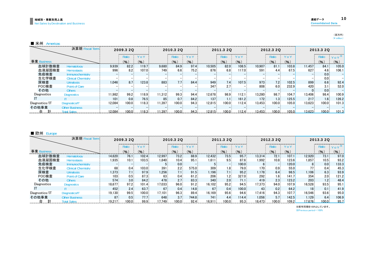(百万円) (\ million)

| 米州 | Americas |
|----|----------|
|----|----------|

| 決算期 Fiscal Term |                           |        | 2009.3 2Q |              |        | 2010.3 20 |                   |                  | 2011.3 2Q        |       |         | 2012.3 20        |       | 2013.3 2Q |                  |               |  |
|-----------------|---------------------------|--------|-----------|--------------|--------|-----------|-------------------|------------------|------------------|-------|---------|------------------|-------|-----------|------------------|---------------|--|
|                 |                           |        | Ratio     | $^{\circ}$ 0 |        | Ratio     | r o Y             |                  | Ratio            |       |         | Ratio            | Y o Y |           | Ratio            | $Y_0 Y^*$     |  |
| 事業 Business     |                           |        | (9)       | (%)          |        | (%)       | $($ % $)$         |                  | (%)              | (9)   |         | (9)              | (%)   |           | (% )             | $\frac{1}{2}$ |  |
| 血球計数検杳          | Hematology                | 9.939  | 82.2      | 119.7        | 9.680  | 84.9      | 97.4              | 10.505           | 82.0             | 108.5 | 10.907  | 81.1             | 103.8 | 11.457    | 84.1             | 105.0         |  |
| 血液凝固検査          | <b>Hemostasis</b>         | 996    | 8.2       | 107.0        | 749.   | 6.6       | 75.2 <sub>1</sub> | 876              | 6.8              | 117.0 | $591 -$ | 4.4              | 67.5  | 627       | 4.6 <sup>°</sup> | 106.1         |  |
| 免疫検査            | <b>Immunochemistry</b>    |        |           |              |        |           |                   |                  |                  |       |         |                  |       |           | 0.0              |               |  |
| 生化学検査           | <b>Clinical Chemistry</b> |        |           |              |        |           |                   |                  |                  |       |         |                  |       |           | 0.0              |               |  |
| 尿検査             | <b>Urinalysis</b>         | 1.046  | 8.7       | 123.8        | 883    | 7.7       | 84.4              | 949              | 7.4 <sub>3</sub> | 107.5 | 973     | 7.2%             | 102.5 | 899       | 6.6              | 92.4          |  |
| POC検査           | Point of Care             |        |           |              |        |           |                   | 347              | 2.7              |       | 808     | 6.0 <sup>3</sup> | 232.9 | 420       | 3.1              | 52.0          |  |
| その他             | <b>Others</b>             |        |           |              |        |           |                   |                  |                  |       |         |                  |       |           | 0.0              |               |  |
| Diagnostics     | <b>Diagnostics</b>        | 11.982 | 99.2      | 118.9        | 11.312 | 99.3      | 94.4              | 12.678           | 98.9             | 112.1 | 13.280  | 98.7             | 104.7 | 13.406    | 98.4             | 100.9         |  |
|                 |                           | 101    | 0.8       | 76.5         | 85     | 0.7       | 84.2              | 137 <sub>1</sub> | 1.1              | 161.2 | 172.    | 1.3              | 125.5 | 217       | 1.6 <sub>1</sub> | 126.2         |  |
| Diagnostics/IT  | Diagnostics/IT            | 12,084 | 100.0     | 118.3        | 11,397 | 100.0     | 94.3              | 12.815           | 100.0            | 112.4 | 13.453  | 100.0            | 105.0 | 13.623    | 100.0            | 101.3         |  |
| その他事業           | <b>Other Business</b>     |        |           |              |        |           |                   |                  |                  |       |         |                  |       |           |                  |               |  |
| 計<br>合          | <b>Total Sales</b>        | 12.084 | 100.0     | 118.3        | 1.397  | 100.0     | 94.3              | 12.815           | 100.0            | 112.4 | 13.453  | 100.0            | 105.0 | 13.623    | 100.0            | 101.3         |  |

#### ■ 欧州 Europe

|                | 決算期 Fiscal Term<br>2009.3 20 |        |                             | 2010.3 2Q |                |                                             | 2011.3 20 |        |                  |         | 2012.3 20 |       | 2013.3 20          |                 |                  |           |
|----------------|------------------------------|--------|-----------------------------|-----------|----------------|---------------------------------------------|-----------|--------|------------------|---------|-----------|-------|--------------------|-----------------|------------------|-----------|
|                |                              |        | --------------------------- | ′ o Y     |                | ----------------------------------<br>Ratio | Yo        |        | Ratic            | $Y_0$ , |           |       | ′ o Y              |                 | Katio            | $Y_0 Y^*$ |
| 事業 Business    |                              |        | (%)                         | (9)       |                | (9)                                         | (9)       |        | (%)              | (%)     |           | (%)   | $\mathcal{O}_6$    |                 | (9)              | (9)       |
| 血球計数検査         | Hematology                   | 14.620 | 76.1                        | 102.4     | 12.997         | 73.2                                        | 88.9      | 12.432 | 73.5             | 95.7    | 13,314    | 72.1  | 107.1              | 12.920          | 73.1             | 97.0      |
| 血液凝固検査         | <b>Hemostasis</b>            | .935   | 10.1                        | 103.5     | 1.840          | 10.4                                        | 95.1      | 1.611  | 9.5              | 87.6    | ⊢992. ا   | 10.8  | 123.6              | 1.857           | 10.5             | 93.2      |
| 免疫検査           | Immunochemistry              |        |                             |           | 5 <sub>1</sub> | 0.0                                         |           |        |                  | 100.0   | 6.        |       | 120.0              |                 | 0.0 <sub>1</sub> | 133.3     |
| 生化学検査          | <b>Clinical Chemistry</b>    | 68     | 0.41                        | 103.0     | 391            | 2.2 <sub>1</sub>                            | 575.0     | 309    | 1.8 <sup>°</sup> | 79.0    | 170.      | 0.9   | 55.0               |                 | 0.4              | 45.3      |
| 尿検査            | <b>Urinalysis</b>            | 1,373  | 7.1                         | 97.9      | 1.256          |                                             | 91.5      | 1.196  | 7.1              | 95.2    | 1.178     | 6.4   | 98.5               | 1,106           | 6.3 <sub>1</sub> | 93.9      |
| POC検査          | Point of Care                | 103    | 0.5                         | 87.3      | 63             | 0.4                                         | 61.2      | 206    | 1.2 <sub>k</sub> | 327.0   | 292       | 1.6   | 141.7              | 354             | 2.0 <sub>1</sub> | 121.2     |
| その他            | <b>Others</b>                | 574    | 3.0 <sub>1</sub>            | 84.2      | 478            | 2.7                                         | 83.3      | 340    | 2.0              | 71.1    | 419       | 2.3   | 123.2              | 203             | 1.2 <sub>1</sub> | 48.4      |
| Diagnostics    | <b>Diagnostics</b>           | 18.677 | 97.2                        | 101.4     | 17.033         | 96.0                                        | 91.2      | 16.102 | 95.2             | 94.5    | 17.373    | 94.0  | 107.9              | 16.528          | 93.5             | 95.1      |
|                |                              | 452    | 2.4 <sup>2</sup>            | 63.7      | 67             | 0.4                                         | 14.8      | 67     | 0.4              | 100.0   | 43        | 0.2   | 64.2               | 18 <sup>1</sup> | 0.1              | 41.9      |
| Diagnostics/IT | Diagnostics/IT               | 19.130 | 99.5                        | 100.0     | 17.101         | 96.3                                        | 89.4      | 16.169 | 95.6             | 94.6    | 17.416    | 94.3  | 107.7 <sub>h</sub> | 16.546          | 93.6             | 95.0      |
| その他事業          | <b>Other Business</b>        | 87:    | 0.5.                        | 77.7      | 648            | 3.7                                         | 744.8     | 741    | 4.4 <sup>3</sup> | 114.4   | 1.056     | 5.7   | 142.5              | 1.129           | 6.4              | 106.9     |
| 台              | <b>Total Sales</b>           | 19.217 | 100.0                       | 99.9      | 17.749         | 100.0                                       | 92.4      | 16.911 | 100.0            | 95.3    | 18.473    | 100.0 | 109.2              | 17.676          | 100.0            | 95.7      |

※Previous period = 100% ※前年同期を100%としています。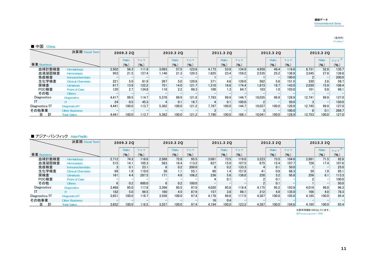#### 連結データConsolidated Data

| ■ 中国<br>China            |                           |           |                  |       |                  |                   |                           |           |                  |           |        |                   |           |        |                   |               |
|--------------------------|---------------------------|-----------|------------------|-------|------------------|-------------------|---------------------------|-----------|------------------|-----------|--------|-------------------|-----------|--------|-------------------|---------------|
| 決算期 Fiscal Term          |                           | 2009.3 20 |                  |       | 2010.3 2Q        |                   |                           | 2011.3 20 |                  | 2012.3 20 |        |                   | 2013.3 20 |        |                   |               |
|                          |                           |           | Ratio            | Yo    |                  | Ratio             | $^{\prime}$ 0 $^{\prime}$ |           | Ratio            | Y o '     |        | Ratic             | 7 O '     |        | Ratio             |               |
| 事業 Business              |                           |           | (9)              | (%)   |                  | (%)               | (9)                       |           | $\frac{9}{6}$    | (9)       |        | (96)              | (%)       |        | (% )              | $\frac{9}{6}$ |
| 血球計数検査                   | Hematology                | 2,502     | 56.3             | 111.9 | 3.093            | 57.5              | 123.6                     | 4.173     | 53.6             | 134.9     | 4.959  | 49.4              | 118.8     | 6.731  | 52.8              | 135.7         |
| 血液凝固検査                   | Hemostasis                | 953       | 21.5             | 127.4 | 1.146            | 21.3              | 120.3                     | 1.825     | 23.4             | 159.2     | 2.535  | 25.2              | 138.9     | 3.545  | 27.8              | 139.8         |
| 免疫検査                     | <b>Immunochemistry</b>    |           |                  |       |                  |                   |                           |           |                  |           |        |                   | 100.0     |        |                   | 200.0         |
| 生化学検査                    | <b>Clinical Chemistry</b> | 221       | 5.0 <sub>1</sub> | 81.9  | 267              | 5.0 <sup>°</sup>  | 120.8                     | 371       | 4.8 <sup>1</sup> | 139.0     | 562    | 5.6 <sub>1</sub>  | 151.5     | 330    | 2.6               | 58.7          |
| 尿検査                      | <b>Urinalysis</b>         | 617       | 13.9             | 122.2 | 751              | 14.0 <sub>1</sub> | 121.7                     | 1.310     | 16.8             | 174.4     | 1.873  | 18.7 <sub>1</sub> | 143.0     | 2,030  | 15.9 <sub>1</sub> | 108.4         |
| POC検査                    | Point of Care             | 120.      | 2.7              | 134.8 | 118 <sup>3</sup> | $2.2 -$           | 98.3                      | 100       | 1.3              | 84.7      | 103    | 1.0               | 103.0     | 101    | 0.8 <sub>1</sub>  | 98.1          |
| その他                      | <b>Others</b>             |           |                  |       |                  |                   |                           |           |                  |           |        |                   |           |        |                   |               |
| Diagnostics              | <b>Diagnostics</b>        | 4,417     | 99.5             | 114.7 | 5.378            | 99.9              | 121.8                     | 7.783     | 99.9             | 144.7     | 10.035 | 99.9              | 128.9     | 12.741 | 99.9              | 127.0         |
|                          |                           | 24        | 0.5              | 45.3  |                  | 0.1               | 16.7                      |           | 0.1              | 100.0     |        |                   | 50.0      |        |                   | 150.0         |
| Diagnostics/IT           | Diagnostics/IT            | 4.441     | 100.0            | 113.7 | 5.382            | 100.0             | 121.2                     | 7.787     | 100.0            | 144.7     | 10.037 | 100.0             | 128.9     | 12.745 | 99.9              | 127.0         |
| その他事業                    | <b>Other Business</b>     |           |                  |       |                  |                   |                           |           |                  |           |        |                   | 100.0     |        | 0.1               | 266.7         |
| ………合…計……… Total Sales……… | <b>Total Sales</b>        |           |                  |       |                  |                   |                           |           |                  |           |        |                   | 128.9     | 12.753 | 100.0             | 127.0         |

#### ■ アジア・パシフィック Asia-Pacific

|                | 決算期 Fiscal Term<br>2009.3 20 |       |                  | 2010.3 2Q |               | 2011.3 20        |       |                 |                  | 2012.3 20 |       | 2013.3 2Q |           |                 |       |           |
|----------------|------------------------------|-------|------------------|-----------|---------------|------------------|-------|-----------------|------------------|-----------|-------|-----------|-----------|-----------------|-------|-----------|
|                |                              |       | Ratio            | Y O       |               | Ratio            | ΥO    |                 |                  | 7 o Y     |       | Ratic     | Y o Y     |                 | Ratio | Y o Y     |
| 事業 Business    |                              |       | (%               | (%)       |               | (%)              | (9)   |                 | (% )             | (9)       |       | (%)       | $($ % $)$ |                 | (9)   | $($ % $)$ |
| 血球計数検査         | Hematology                   | 2.712 | 74.3             | 116.6     | 2.589         | 72.8             | 95.5  | 3.081           | 73.5             | 119.0     | 3.223 | 73.5      | 104.6     | 2,991           | 71.5  | 92.8      |
| 血液凝固検査         | <b>Hemostasis</b>            | 515   | 14.1             | 105.3     | 583           | 16.4             | 113.2 | 627             | $15.0 -$         | 107.5     | 675   | 15.4      | 107.7     | 726             | 17.4  | 107.6     |
| 免疫検査           | Immunochemistry              |       | 0.1              | 23.1      |               | $0.2 -$          | 200.0 |                 | 0.2              | 133.3     |       | 0.1       | 50.0      |                 |       | 25.0      |
| 生化学検査          | <b>Clinical Chemistry</b>    | 69    | 1.9 <sub>1</sub> | 119.0     | 38            | 1.1 :            | 55.1  | 60              | 1.4              | 157.9     |       | 0.9.      | 68.3      | 39 <sup>3</sup> | 1.0   | 95.1      |
| 尿検査            | <b>Urinalysis</b>            | 161   | 4.4              | 287.5     | 171           | 4.8 <sup>1</sup> | 106.2 | 236             | 5.6              | 138.0     | 226   | 5.2       | 95.8      | 256             | 6.1   | 113.3     |
| POC検査          | Point of Care                |       |                  |           |               |                  |       |                 | 0.1              |           |       | 0.1       |           |                 |       | 100.0     |
| その他            | <b>Others</b>                |       | 0.2              | 600.0     |               | 0.2              | 100.0 |                 |                  |           |       | 0.1       |           |                 |       | 50.0      |
| Diagnostics    | <b>Diagnostics</b>           | 3,468 | 95.0             | 117.8     | 3.396         | 95.5             | 97.9  | 4,020           | 95.8             | 118.4     | 4.175 | 95.2      | 103.9     | 4,019           | 96.0  | 96.3      |
|                |                              | 182   | 5.0 <sub>1</sub> | 99.5      | 160           | 4.5              | 87.9  | 157             | 3.8 <sup>°</sup> | 98.1      | 212   | 4.8       | 135.0     | 166             | 4.0   | 78.3      |
| Diagnostics/IT | Diagnostics/IT               | 3,651 | 100.0            | 16.7      | 3.556         | 100.0            | 97.4  | 4.178           | 99.6             | 117.5     | 4.387 | 100.0     | 105.0     | 4.185           | 100.0 | 95.4      |
| その他事業          | <b>Other Business</b>        |       |                  |           |               |                  |       | 16 <sup>3</sup> | $0.4^{\circ}$    |           |       |           |           |                 |       |           |
|                | Total                        | 3.652 | $100.0 - 1$      | 116.5     | $3.557$ 100.0 |                  | 97.4  | 4.194           | $100.0$          | 123.2     |       |           |           | 4.185           | 100.0 | 95.4      |

※前年同期を100%としています。

※Previous period = 100%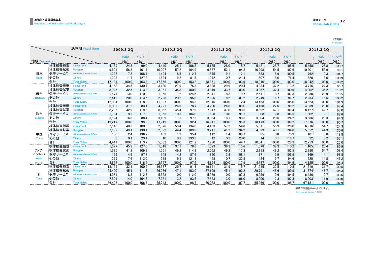(百万円)  $(\rm 4$  million)

| 決算期 Fiscal Term |        |                                        | 2009.3 20 |       |         | 2010.3 20 |                   |       | 2011.3 20 |                   |                      | 2012.3 20 |               |            | 2013.3 2Q |                    |             |
|-----------------|--------|----------------------------------------|-----------|-------|---------|-----------|-------------------|-------|-----------|-------------------|----------------------|-----------|---------------|------------|-----------|--------------------|-------------|
|                 |        |                                        |           | Ratio | <br>YoY |           | <br>Ratio         | YoY   |           | Ratio             | -------------<br>YoY |           | Ratio         | .<br>Y o Y |           | Ratio              | $'$ 0 Y $*$ |
| 地域 Destination  |        |                                        |           | (96)  | (%)     |           | (9)               | (9)   |           | (%)               | (96)                 |           | (96)          | (9)        |           | (%)                | (%)         |
|                 | 検体検査機器 | Instrument                             | 4.159     | 24.3  | 99.0    | 4.440     | 25.1              | 106.8 | 5,135     | 28.0              | 115.7                | 5,421     | 28.7          | 105.6      | 5.458     | 28.8               | 100.7       |
|                 | 検体検査試薬 | Reagent                                | 9.621     | 56.3  | 101.4   | 10.097    | 57.2              | 104.9 | 9.567     | 52.1              | 94.8                 | 10.298    | 54.5          | 107.6      | 10.201    | 53.9               | 99.1        |
| 日本              | 保守サービス | <b>Maintenance Service &amp; Parts</b> | 1,326     | 7.8   | 108.4   | 1.494     | 8.5               | 112.7 | 1.675     | 9.1               | 112.1                | 1.683     | 8.9           | 100.5      | 1.762     | 9.3                | 104.7       |
| Japan           | その他    | <b>Others</b>                          | 1.993     | 11.7  | 127.8   | 1.624     | 9.2               | 81.5  | 1,972     | 10.7              | 121.4                | 1,507     | 8.0:          | 76.4       | 1.520     | 8.0 <sub>1</sub>   | 100.9       |
| .               | 合計     | Total Sales                            | 17,101    | 100.0 | 103.8   | 17,656    | 100.0             | 103.2 | 18.351    | 100.0             | 103.9                | 18,910    | 100.0         | 103.0      | 18.942    | 100.0              | 100.2       |
|                 | 検体検査機器 | าstrument                              | 4.168     | 34.5  | 130.7   | 3.180     | 27.9              | 76.3  | 3,828     | 29.9              | 120.4                | 4,334     | 32.2          | 113.2      | 3.716     | 27.3               | 85.7        |
|                 | 検体検査試薬 | Reagent                                | 3,925     | 32.5  | 113.2   | 3.961     | 34.8              | 100.9 | 4,319     | 33.7              | 109.0                | 4,357     | 32.4          | 100.9      | 4.802     | 35.2               | 110.2       |
| 米州              | 保守サービス | <b>Maintenance Service &amp; Parts</b> | 1.571     | 13.0  | 110.2   | 1.956     | 17.2              | 124.5 | 2.341     | 18.3              | 119.7                | 2.511     | 18.7          | 107.3      | 2.850     | 20.9               | 113.5       |
| Americas        | その他    | <b>Others</b>                          | 2.419     | 20.0  | 113.5   | 2.298     | 20.2              | 95.0  | 2,326     | 18.2              | 101.2                | 2.249     | 16.7          | 96.7       | 2.254     | 16.5               | 100.2       |
|                 | 合計     | <b>Total Sales</b>                     | 12.084    | 100.0 | 118.3   | 11.397    | 100.0             | 94.3  | 12,815    | 100.0             | 112.4                | 13.453    | 100.0         | 105.0      | 13.623    | 100.0              | 101.3       |
|                 | 検体検査機器 | Instrument                             | 6.002     | 31.2  | 83.1    | 4.721     | 26.6              | 78.7  | 4.200     | 24.8              | 89.0                 | 4.168     | 22.6          | 99.2       | 4.059     | 23.0               | 97.4        |
|                 | 検体検査試薬 | Reagent                                | 8.235     | 42.9  | 119.6   | 8.062     | 45.4              | 97.9  | 7.947     | 47.0              | 98.6                 | 8,692     | 47.1          | 109.4      | 8.427     | 47.7               | 97.0        |
| 欧州              | 保守サービス | <b>Maintenance Service &amp; Parts</b> | 1.784     | 9.3   | 117.8   | 1.855     | 10.5 <sup>1</sup> | 104.0 | 1.698     | 10.0              | 91.5                 | 1,808     | 9.8           | 106.5      | 1.602     | 9.1                | 88.6        |
| Europe          | その他    | <b>Others</b>                          | 3.194     | 16.6  | 88.4    | 3.109     | 17.5              | 97.3  | 3.064     | 18.1              | 98.6                 | 3.804     | 20.6          | 124.2      | 3.586     | 20.3               | 94.3        |
|                 | 合計     | <b>Total Sales</b>                     | 19.217    | 100.0 | 99.9    | 17.749    | 100.0             | 92.4  | 16.911    | 100.0             | 95.3                 | 18,473    | 100.0         | 109.2      | 17.676    | 100.0 <sup>°</sup> | 95.7        |
|                 | 検体検査機器 | Instrument                             | 2.146     | 48.3  | 100.5   | 2.876     | 53.4              | 134.0 | 4.453     | 57.2              | 154.8                | 5.611     | 55.9          | 126.0      | 6.976     | 54.7               | 124.3       |
|                 | 検体検査試薬 | Reagent                                | 2.182     | 49.1  | 130.1   | 2.392     | 44.4              | 109.6 | 3.211     | 41.2              | 134.2                | 4,329     | 43.1          | 134.8      | 5.652     | 44.3               | 130.6       |
| 中国              | 保守サービス | <b>Maintenance Service &amp; Parts</b> | 108       | 2.4   | 136.7   | 103       | 1.9               | 95.4  | 112       | 1.4               | 108.7                | 85        | 0.8           | 75.9       | 101       | 0.8 <sub>1</sub>   | 118.8       |
| China           | その他    | <b>Others</b>                          | 3         | 0.1   | 23.1    | 10        | 0.2               | 333.3 | 12        | 0.2               | 120.0                | 14        | 0.1           | 116.7      | 22        | 0.2                | 157.1       |
| ------------    | 合計     | <b>Total Sales</b>                     | 4.441     | 100.0 | 113.7   | 5.382     | 100.0             | 121.2 | 7.790     | 100.0             | 144.7                | 10.041    | 100.0         | 128.9      | 12.753    | 100.0              | 127.0       |
|                 | 検体検査機器 | nstrument                              | 1.677     | 45.9  | 127.0   | 1.318     | 37.1              | 78.6  | 1.523     | 36.3              | 115.6                | 1.678     | 38.3          | 110.2      | 1.105     | 26.4               | 65.9        |
| アジア・            | 検体検査試薬 | Reagent                                | 1,525     | 41.8  | 109.3   | 1.751     | 49.2              | 114.8 | 2,062     | 49.2              | 117.8                | 2.113     | 48.2          | 102.5      | 2,290     | 54.7               | 108.4       |
| パシフィック          | 保守サービス | Maintenance Service & Parts            | 169       | 4.6   | 97.7    | 148       | 4.2               | 87.6  | 160       | 3.8               | 108.1                | 171       | 3.9           | 106.9      | 169       | 4.1                | 98.8        |
| Asia-           | その他    | <b>Others</b>                          | 279       | 7.6   | 113.0   | 338       | 9.5               | 121.1 | 448       | 10.7 <sub>2</sub> | 132.5                | 424       | 9.7           | 94.6       | 620       | 14.8               | 146.2       |
| Pacific         | 合計     | <b>Total Sales</b><br>                 | 3,652     | 100.0 | 116.5   | 3.557     | 100.0             | 97.4  | 4,194     | 100.0             | 117.9                | 4,387     | 100.0         | 104.6      | 4.185     | 100.0              | 95.4        |
|                 | 検体検査機器 | าstrument                              | 18,155    | 32.1  | 100.5   | 16,537    | 29.7              | 91.1  | 19,141    | 31.9              | 115.7                | 21,215    | 32.5          | 110.8      | 21,316    | 31.7.              | 100.5       |
|                 | 検体検査試薬 | Reagent                                | 25.490    | 45.1  | 111.3   | 26,266    | 47.1              | 103.0 | 27.109    | 45.1              | 103.2                | 29.791    | 45.6          | 109.9      | 31.374    | 46.7               | 105.3       |
| 計               | 保守サービス | <b>Maintenance Service &amp; Parts</b> | 4.961     | 8.8   | 112.3   | 5.558     | 10.0 <sub>1</sub> | 112.0 | 5,989     | 10.0 <sub>1</sub> | 107.8                | 6.259     | $9.6^{\circ}$ | 104.5      | 6.486     | 9.7                | 103.6       |
| <b>T</b> otal   | その他    | <b>Others</b>                          | 7,891     | 14.0  | 104.3   | 7,381     | 13.2              | 93.5  | 7,823     | 13.0              | 106.0                | 8,000     | 12.3          | 102.3      | 8.003     | 11.9               | 100.0       |
|                 | 合計     | <b>Total Sales</b>                     | 56.497    | 100.0 | 106.7   | 55.743    | 100.0             | 98.7  | 60.063    | 100.0             | 107.7                | 65.266    | 100.0         | 108.7      | 67.181    | 100.0              | 102.9       |

※前年同期を100%としています。

※Previous period = 100%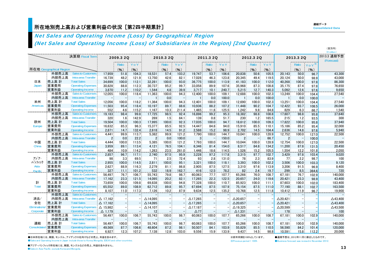#### 所在地別売上高および営業利益の状況[第2四半期累計] しんしょう しんしょう しんしん しんしん こうしんしょう こうしゅうしょう

連結データ

(百万円)

## Net Sales and Operating Income (Loss) by Geographical Region

(Net Sales and Operating Income (Loss) of Subsidiaries in the Region) [2nd Quarter]

|                     |                         |                                                  |                    |                   |       |                    |           |       |                    |           |       |                    |           |         |                    |           |          | $($ ¥ million $)$  |
|---------------------|-------------------------|--------------------------------------------------|--------------------|-------------------|-------|--------------------|-----------|-------|--------------------|-----------|-------|--------------------|-----------|---------|--------------------|-----------|----------|--------------------|
|                     |                         | 決算期 Fiscal Term                                  |                    | 2009.3 2Q         |       |                    | 2010.3 2Q |       |                    | 2011.3 20 |       |                    | 2012.3 2Q |         |                    | 2013.3 2Q |          | 2013.3 通期予想        |
|                     |                         |                                                  |                    |                   |       |                    |           |       |                    |           |       |                    |           |         |                    |           | .        | (Forecast)         |
|                     |                         |                                                  |                    | Ratio<br>÷        | YoY   |                    | Ratio     | YoY   |                    | Ratio     | Y o Y |                    | Ratio     | YoY     |                    | Ratio     | $Y_0Y^*$ |                    |
|                     | 所在地 Geographical Region |                                                  |                    | $(\% )$           | (%)   |                    | (%)       | (%)   |                    | $($ % $)$ | (%)   |                    | (%)       | $(\% )$ |                    | (%)       | (%)      |                    |
|                     | 外部売上高                   | <b>Sales to Customers</b>                        | 17,959             | 51.8              | 104.3 | 18,531             | 57.4      | 103.2 | 19.747             | 53.7      | 106.6 | 20,838             | 50.6      | 105.5   | 20,143             | 50.0      | 96.7     | 43,300             |
|                     | 内部売上高                   | Intra-area Transfer                              | 16,739             | 48.2              | 121.9 | 13,750             | 42.6      | 82.1  | 17.028             | 46.3      | 123.8 | 20,345             | 49.4      | 119.5   | 20.124             | 50.0      | 98.9     | 43,000             |
| 日本                  | 売上高 計                   | <b>Total Sales</b>                               | 34,699             | 100.0             | 112.1 | 32,281             | 100.0     | 93.0  | 36.775             | 100.0     | 113.9 | 41,183             | 100.0     | 112.0   | 40.268             | 100.0     | 97.8     | 86,300             |
| Japan               | 営業費用                    | <b>Operating Expenses</b>                        | 30,828             | 88.8              | 112.3 | 30,737             | 95.2      | 99.7  | 33,058             | 89.9      | 107.6 | 35,968             | 87.3      | 108.8   | 35,175             | 87.4      | 97.8     | 76,650             |
|                     | 営業利益                    | <b>Operating Income</b>                          | 3.870              | 11.2              | 110.2 | 1.544              | 4.8       | 39.9  | 3,717              | 10.1      | 240.7 | 5,215              | 12.7      | 140.3   | 5.092              | 12.6      | 97.6     | 9,650              |
|                     | 外部売上高                   | <b>Sales to Customers</b>                        | 12,055             | 100.0             | 118.4 | 11,363             | 100.0     | 94.3  | 12,400             | 100.0     | 109.1 | 12,688             | 100.0     | 102.3   | 13,249             | 100.0     | 104.4    | 27,540             |
|                     | 内部売上高                   | Intra-area Transfer                              |                    |                   |       |                    | 0.0       |       |                    | 0.0       | 100.0 |                    | 0.0       | 100.0   |                    | 0.0       | 100.0    |                    |
| 米州                  | 売上高 計                   | <b>Total Sales</b>                               | 12.056             | 100.0             | 118.2 | 11.364             | 100.0     | 94.3  | 12.401             | 100.0     | 109.1 | 12.690             | 100.0     | 102.3   | 13.251             | 100.0     | 104.4    | 27,540             |
| Americas            | 営業費用                    | <b>Operating Expenses</b>                        | 11,503             | 95.4              | 118.4 | 10,197             | 89.7      | 88.6  | 10,936             | 88.2      | 107.2 | 11,448             | 90.2      | 104.7   | 12,422             | 93.7      | 108.5    | 26,000             |
|                     | 営業利益                    | <b>Operating Income</b>                          | 552                | 4.6 <sup>°</sup>  | 115.2 | 1.167              | 10.3      | 211.4 | 1.465              | 11.8      | 125.5 | 1.242              | 9.8       | 84.8    | 829                | 6.3       | 66.7     | 1,540              |
|                     | 外部売上高                   | <b>Sales to Customers</b>                        | 19,183             | 98.4              | 99.8  | 17,725             | 98.5      | 92.4  | 16,896             | 99.2      | 95.3  | 18,382             | 98.8      | 108.8   | 17,607             | 98.8      | 95.8     | 37,640             |
|                     | 内部売上高                   | Intra-area Transfer                              | 320                | 1.6               | 142.9 | 269                | 1.5       | 84.1  | 139                | 0.8       | 51.7  | 230                | 1.2       | 165.5   | 215                | 1.2       | 93.5     | 300                |
| 欧州                  | 売上高 計                   | <b>Total Sales</b>                               | 19,504             | 100.0             | 100.3 | 17,995             | 100.0     | 92.3  | 17,035             | 100.0     | 94.7  | 18,612             | 100.0     | 109.3   | 17,822             | 100.0     | 95.8     | 37,940             |
| Europe              | 営業費用                    | <b>Operating Expenses</b>                        | 16,632             | 85.3              | 96.3  | 15,377             | 85.5      | 92.5  | 14.447             | 84.8      | 94.0  | 15.910             | 85.5      | 110.1   | 15.186             | 85.2      | 95.4     | 32,000             |
| .                   | 営業利益                    | Operating Income                                 | 2,871              | 14.7 <sup>°</sup> | 132.4 | 2,618              | 14.5      | 91.2  | 2,588              | 15.2      | 98.9  | 2,702              | 14.5      | 104.4   | 2,636              | 14.8      | 97.6     | 5,940              |
|                     | 外部売上高                   | Sales to Customers                               | 4,441              | 99.9              | 113.7 | 5,382              | 99.9      | 121.2 | 7,790              | 100.0     | 144.7 | 10,041             | 100.0     | 128.9   | 12,752             | 100.0     | 127.0    | 22,500             |
|                     | 内部売上高                   | Intra-area Transfer                              | 2.                 | 0.0               | 22.2  | 2 <sub>1</sub>     | 0.0       | 100.0 | 3                  |           | 150.0 |                    |           | 66.7    | $\overline{2}$     |           | 100.0    |                    |
| 中国                  | 売上高 計                   | <b>Total Sales</b>                               | 4.444              | 100.0             | 113.5 | 5.385              | 100.0     | 121.2 | 7.793              | 100.0     | 144.7 | 10.044             | 100.0     | 128.9   | 12.754             | 100.0     | 127.0    | 22,500             |
| China               | 営業費用                    | <b>Operating Expenses</b>                        | 3.959              | 89.1              | 113.4 | 4,121              | 76.5      | 104.1 | 6.346              | 81.4      | 154.0 | 8.517              | 84.8      | 134.2   | 11.200             | 87.8      | 131.5    | 20,450             |
|                     | 営業利益                    | Operating Income                                 | 484                | 10.9 <sub>1</sub> | 114.2 | 1,263              | 23.5      | 261.0 | 1.446              | 18.6      | 114.5 | 1,526              | 15.2      | 105.5   | 1.554              | 12.2      | 101.8    | 2,050              |
|                     | 外部売上高                   | <b>Sales to Customers</b>                        | 2,857              | 96.7              | 117.1 | 2,740              | 97.5      | 95.9  | 3,228              | 97.2      | 117.8 | 3,315              | 97.7      | 102.7   | 3.429              | 97.8      | 103.4    | 9,020              |
| アジア・                | 内部売上高                   | Intra-area Transfer                              | 98                 | 3.3 <sup>°</sup>  | 69.5  | 71                 | 2.5       | 72.4  | 93                 | 2.8       | 131.0 | 78                 | 2.3       | 83.9    | 77                 | 2.2       | 98.7     | 100                |
| パシフィック              | 売上高 計                   | <b>Total Sales</b>                               | 2,955              | 100.0             | 114.5 | 2,811              | 100.0     | 95.1  | 3,321              | 100.0     | 118.1 | 3,393              | 100.0     | 102.2   | 3.506              | 100.0     | 103.3    | 9,120              |
| Asia-               | 営業費用                    | <b>Operating Expenses</b>                        | 2,627              | $88.9 -$          | 116.3 | 2,279              | 81.1      | 86.8  | 2.905              | 87.5      | 127.5 | 3,310              | 97.6      | 113.9   | 3,206              | 91.5      | 96.9     | 8,400              |
| <b>Pacific</b>      | 営業利益                    | Operating Income                                 | 327                | 11.1              | 101.2 | 532                | 18.9      | 162.7 | 416                | 12.5      | 78.2  | 82                 | 2.4       | 19.7    | 299                | 8.5       | 364.6    | 720                |
|                     | 外部売上高                   | <b>Sales to Customers</b>                        | 56,497             | 76.7              | 106.7 | 55,743             | 79.8      | 98.7  | 60,063             | 77.7      | 107.7 | 65,266             | 76.0      | 108.7   | 67,181             | 76.7      | 102.9    | 140,000            |
|                     | 内部売上高                   | Intra-area Transfer                              | 17,162             | 23.3              | 121.5 | 14,095             | 20.2      | 82.1  | 17.265             | 22.3      | 122.5 | 20.657             | 24.0      | 119.6   | 20.421             | 23.3      | 98.9     | 43,400             |
| 計                   | 売上高 計                   | <b>Total Sales</b>                               | 73,659             | 100.0             | 109.8 | 69,838             | 100.0     | 94.8  | 77.328             | 100.0     | 110.7 | 85,923             | 100.0     | 111.1   | 87.603             | 100.0     | 102.0    | 183,400            |
| Total               | 営業費用                    | <b>Operating Expenses</b>                        | 65.552             | 89.0              | 108.9 | 62,712             | 89.8      | 95.7  | 67.694             | 87.5      | 107.9 | 75.154             | 87.5      | 111.0   | 77.190             | 88.1      | 102.7    | 163,500            |
|                     | 営業利益                    | Operating Income                                 | 8.107              | 11.0              | 117.3 | 7.126              | 10.2      | 87.9  | 9.634              | 12.5      | 135.2 | 10.768             | 12.5      | 111.8   | 10,412             | 11.9      | 96.7     | 19,900             |
|                     | 外部売上高<br>内部売上高          | <b>Sales to Customers</b><br>Intra-area Transfer |                    |                   |       |                    |           |       |                    |           |       |                    |           |         |                    |           |          |                    |
| 消去/                 |                         |                                                  | $\Delta$ 17.162    |                   |       | △14.095            |           |       | $\triangle$ 17.265 |           |       | $\Delta$ 20.657    |           |         | △20.421            |           |          | $\triangle$ 43,400 |
| 全社                  | 売上高 計                   | <b>Total Sales</b>                               | $\triangle$ 17.162 |                   |       | $\triangle$ 14,095 |           |       | $\Delta$ 17,265    | -1        |       | $\triangle$ 20,657 |           |         | $\triangle$ 20,421 |           |          | $\triangle$ 43,400 |
| <b>Eliminations</b> | 営業費用                    | <b>Operating Expenses</b>                        | $\Delta$ 15.982    |                   |       | $\Delta$ 14,107    |           |       | $\Delta$ 17.187    |           |       | $\Delta$ 19,325    |           |         | $\triangle$ 20,599 |           |          | $\triangle$ 43,500 |
| Corporate           | 営業利益                    | Operating Income                                 | $\triangle$ 1.179  |                   |       | 12 <sup>1</sup>    |           |       | $\triangle$ 77     |           |       | $\triangle$ 1.331  |           |         | 178                |           |          | 100                |
|                     | 外部売上高                   | <b>Sales to Customers</b>                        | 56,497             | 100.0             | 106.7 | 55,743             | 100.0     | 98.7  | 60,063             | 100.0     | 107.7 | 65,266             | 100.0     | 108.7   | 67,181             | 100.0     | 102.9    | 140,000            |
|                     | 内部売上高                   | Intra-area Transfer<br><b>Total Sales</b>        |                    |                   |       |                    |           |       |                    |           |       |                    |           |         |                    |           |          |                    |
| 連結                  | 売上高 計                   |                                                  | 56,497             | 100.0             | 106.7 | 55,743             | 100.0     | 98.7  | 60.063             | 100.0     | 107.7 | 65,266             | 100.0     | 108.7   | 67,181             | 100.0     | 102.9    | 140,000            |
| Consolidated        | 営業費用                    | <b>Operating Expenses</b>                        | 49,569             | 87.7              | 106.6 | 48,604             | 87.2      | 98.1  | 50.507             | 84.1      | 103.9 | 55,829             | 85.5      | 110.5   | 56,590             | 84.2      | 101.4    | 120,000            |
|                     | 営業利益                    | Operating Income                                 | 6.927              | $12.3 -$          | 107.2 | 7.138              | 12.8      | 103.0 | 9.556              | 15.9      | 133.9 | 9.437              | 14.5      | 98.8    | 10,591             | 15.8      | 112.2    | 20,000             |

●日本所在地には、韓国、モンゴル、アイデックス社向けなどの売上、利益を含みます。

●Sales and Operating Income in Japan include those to Korea, Mongolia, IDEXX and other countries.

※前年同期を100%としています。

●通期予想は、2012年11月に修正したものです。 ※Previous period = 100% ●Business forecast was revised in November 2012.

●アジア・パシフィック所在地には、韓国、モンゴルなどの売上、利益を含みません。

●Sales in Asia Pacific exclude Korea and Mongolia.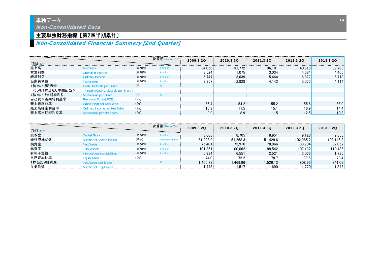### 単独データ Non-Consolidated Data

## 主要単独財務指標 [第2四半期累計]

## Non-Consolidated Financial Summary [2nd Quarter]

| 項目 ltem       |                                                          |       | 決算期 Fiscal Term       | 2009.3 20 | 2010.3 20 | 2011.3 20        | 2012.3 20 | 2013.3 20 |
|---------------|----------------------------------------------------------|-------|-----------------------|-----------|-----------|------------------|-----------|-----------|
| 売上高           | Net Sales                                                | (百万円) | $(Y \text{ million})$ | 34.056    | 31.772    | 36.181           | 40.618    | 39.763    |
| 営業利益          | Operating Income                                         | (百万円) | $(*$ million)         | 3.524     | 1.075     | 3.034            | 4.684     | 4.466     |
| 経常利益          | Ordinary Income                                          | (百万円) | $(*$ million)         | 5.747     | 3.639     | 5.464            | 6.877     | 5.713     |
| 当期純利益         | Net Income                                               | (百万円) | $(Y \text{ million})$ | 3.357     | 2.828     | 4.143            | 5.075     | 4.114     |
| 1株当たり配当金      | Cash Divdends per Share                                  | (H)   | $(\yen)$              |           |           |                  |           |           |
| <うち1株当たり中間配当> | <interim cash="" dividends="" per="" share=""></interim> |       |                       |           |           |                  |           |           |
| 1株当たり当期純利益    | Net Income per Share                                     | (円)   | $(\yen)$              |           |           |                  |           |           |
| 自己資本当期純利益率    | Return on Equity [ROE]                                   | (96)  |                       |           |           |                  |           |           |
| 売上総利益率        | <b>Gross Profit per Net Sales</b>                        | (96)  |                       | 56.4      | 54.2      | 55.2             | 55.6      | 55.9      |
| 売上高経常利益率      | <b>Ordinary Income per Net Sales</b>                     | (96)  |                       | 16.9      | 11.5      | 15.1             | 16.9      | 14.4      |
| 売上高当期純利益率     | Net Income per Net Sales                                 | (96)  |                       | 9.9       | 8.9       | 1.5 <sub>1</sub> | 12.5      | 10.3      |

| 項目       |                              |       | 決算期 Fiscal Term   | 2009.3 20 | 2010.3 20 | 2011.3 20 | 2012.3 20 | 2013.3 20 |
|----------|------------------------------|-------|-------------------|-----------|-----------|-----------|-----------|-----------|
| 資本金      | Capital Stock                | (百万円) | $(4$ million)     | 8.668     | 8.705     | 8.951     | 9.128     | 9.356     |
| 発行済株式数   | Number of Shares Issued      | (千株)  | (thousand shares) | 51.223.9  | 51.268.3  | 51.429.6  | 102.985.2 | 103.146.8 |
| 純資産      | <b>Net Assets</b>            | (百万円) | $(Y$ million)     | 75.401    | 75.910    | 78.966    | 83.704    | 87.057    |
| 総資産      | <b>Total Assets</b>          | (百万円) | (4 million)       | 101.361   | 100.062   | 99.542    | 107.132   | 110.436   |
| 有利子負債    | Interest-bearing Liabilities | (百万円) | $(4$ million)     | 6.984     | 6.551     | 2.521     | 3.063     | .735      |
| 自己資本比率   | <b>Equity Ratio</b>          | (96)  |                   | 74.0      | 75.2      | 78.7      | 77.6      | 78.4      |
| 1株当たり純資産 | Net Assets per Share         | (円)   |                   | 1.466.73  | .469.96   | .526.13   | 808.96    | 841.09    |
| 従業員数     | Numher of Employees          |       |                   | 443       | 517       | .690      | .770      | .845      |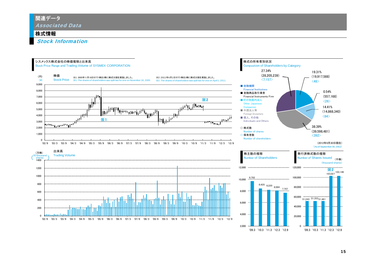#### 関連データ Associated Data

#### 株式情報

Stock Information



'09.3 '10.3 '11.3 '12.3 '12.9

'09.3 '10.3 '11.3 '12.3 '12.9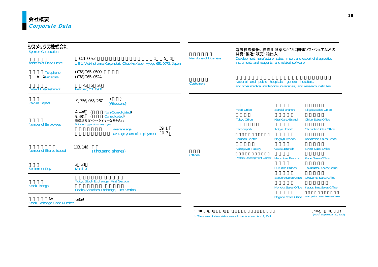Corporate Data

| シスメックス株式会社<br><b>Sysmex Corporation</b>  |                                                                                                  |                       | 臨床検査機器、検査用試薬ならびに関連ソフトウェアなどの<br>開発·製造·販売·輸出入                                                                                |                         |                                                      |  |  |  |  |
|------------------------------------------|--------------------------------------------------------------------------------------------------|-----------------------|----------------------------------------------------------------------------------------------------------------------------|-------------------------|------------------------------------------------------|--|--|--|--|
| <b>Address of Head Office</b>            | 651-0073<br>5 <sub>1</sub><br>1-5-1, Wakinohama-Kaigandori, Chuo-ku, Kobe, Hyogo 651-0073, Japan | Main Line of Business | Development, manufacture, sales, import and export of diagnostics<br>instruments and reagents, and related software        |                         |                                                      |  |  |  |  |
| Telephone<br>A XFacsimile                | $(078)$ 265-0500<br>$(078)$ 265-0524                                                             |                       |                                                                                                                            |                         |                                                      |  |  |  |  |
| Date of Establishment                    | 43 2 20<br>February 20, 1968                                                                     | <b>Customers</b>      | National and public hospitals, general hospitals,<br>and other medical institutions, universities, and research institutes |                         |                                                      |  |  |  |  |
| Paid-in Capital                          | 9, 356, 035, 267<br>(¥ thousand)                                                                 |                       |                                                                                                                            |                         |                                                      |  |  |  |  |
|                                          | 2, 159<br>Non-Consolidated)                                                                      |                       | <b>Head Office</b>                                                                                                         | Sendai Branch           | Niigata Sales Office                                 |  |  |  |  |
|                                          | Consolidated)<br>5,481<br>※嘱託及びパートタイマーなどを含む                                                      |                       | <b>Tokyo Office</b>                                                                                                        | Kita Kanto Branch       | <b>Chiba Sales Office</b>                            |  |  |  |  |
| <b>Number of Employees</b>               | Including part-time employee<br>39.1<br>average age<br>10.7<br>average years of employment       |                       | Technopark                                                                                                                 | <b>Tokyo Branch</b>     | <b>Shizuoka Sales Office</b>                         |  |  |  |  |
|                                          |                                                                                                  |                       | <b>Solution Center</b>                                                                                                     | Nagoya Branch           | Kanazawa Sales Office                                |  |  |  |  |
| Number of Shares Issued                  | 103, 146<br>(thousand shares)                                                                    |                       | Kakogawa Factory                                                                                                           | Osaka Branch            | <b>Kyoto Sales Office</b>                            |  |  |  |  |
|                                          |                                                                                                  | <b>Offices</b>        | <b>Protein Development Center</b>                                                                                          | <b>Hiroshima Branch</b> | <b>Kobe Sales Office</b>                             |  |  |  |  |
| <b>Settlement Day</b>                    | 31<br>3<br>March 31                                                                              |                       |                                                                                                                            | <b>Fukuoka Branch</b>   | <b>Takamatsu Sales Office</b>                        |  |  |  |  |
|                                          | <b>Tokyo Stock Exchange, First Section</b>                                                       |                       |                                                                                                                            |                         | Sapporo Sales Office  Okayama Sales Office           |  |  |  |  |
| <b>Stock Listings</b>                    | <b>Osaka Securities Exchange, First Section</b>                                                  |                       |                                                                                                                            |                         | Morioka Sales Office Kagoshima Sales Office          |  |  |  |  |
|                                          |                                                                                                  |                       |                                                                                                                            |                         | Nagano Sales Office Metropolitan Area Service Center |  |  |  |  |
| Nb.<br><b>Stock Exchange Code Number</b> | 6869                                                                                             |                       |                                                                                                                            |                         |                                                      |  |  |  |  |

2011 4 1 1 2 The shares of shareholders was split two for one on April 1, 2011.

 $(2012 \ 9 \ 30 \ (As of September 30, 2012)$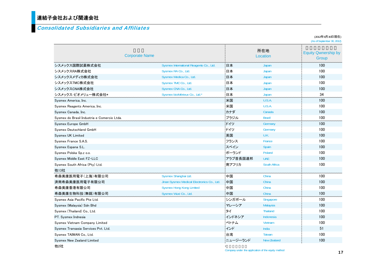#### Consolidated Subsidiaries and Affiliates

(As of September 30, 2012) シスメックス国際試薬株式会社Sysmex International Reagents Co., Ltd. 日本 Japan Japan 100 シスメックスRA株式会社Sysmex RA Co., Ltd. **日本 日本 Japan 100** シスメックスメディカ株式会社 Sysmex Medica Co., Ltd. **日本 日本 Japan 100** シスメックスTMC株式会社Sysmex TMC Co., Ltd. **日本 日本 Japan 100** シスメックスCNA株式会社Sysmex CNA Co., Ltd. **日本 日本 Japan 100** シスメックス・ビオメリュー株式会社\* Sysmex bioMérieux Co., Ltd.\* 日本 Japan Japan 34 Sysmex America, Inc. 米国 U.S.A. 100 Sysmex Reagents America, Inc. 100 and the control of the control of the control of the control of the control of the control of the control of the control of the control of the control of the control of the control of the Sysmex Canada, Inc. カナダ Canada 100 Sysmex do Brasil Industria e Comercio Ltda. ブラジル Brazil 100 Sysmex Europe GmbH **100**<br>Sysmex Europe GmbH the Sysmex Europe GmbH strategies in the system of the system of the system of the system of the system of the system of the system of the system of the system of the system of Sysmex Deutschland GmbH ドイツ Germany 100 Sysmex UK Limited 英国 U.K. 100 Sysmex France S.A.S. フランス France 100 Sysmex Espana S.L. スペイン Spain スペイン Spain コンピュータ in the settlement of the settlement of the settlement of the settlement of the settlement of the settlement of the settlement of the settlement of the settlement of the set Sysmex Polska Sp.z o.o. ポーランド Poland 100 - Sysmex Middle East FZ-LLC しかものには、このことによることによることによることによることによることによる。 プラブ首長国連邦 UAE 100 - 100 Sysmex South Africa (Ptv) Ltd. 100 and the control of the control of the control of the control of the control of the control of the control of the control of the control of the control of the control of the control of t 他13社 希森美康医用電子(上海)有限公司Sysmex Shanghai Ltd. **中国** China 2001 - 100 済南希森美康医用電子有限公司Jinan Sysmex Medical Electronics Co., Ltd. 中国 China China 100 希森美康香港有限公司Sysmex Hong Kong Limited **中国** China China 100 希森美康生物科技(無錫)有限公司Sysmex Wuxi Co., Ltd. **中国 China** China 100 Sysmex Asia Pacific Pte Ltd. 2000 - 2000 - 2000 - 2010 - 2010 - 2010 - 2010 - 2010 - 3ingapore 2010 - 100 - 100 Sysmex (Malaysia) Sdn Bhd マレーシア Malaysia 100 - 100 Malaysia 100 - 100 Malaysia 100 Malaysia 100 Malaysia 100 Malaysia Sysmex (Thailand) Co., Ltd. 2000 No. 2000 No. 2000 No. 2010 No. 2010 No. 2010 No. 2010 No. 2010 No. 2010 No. 2010 No. 2010 No. 2010 No. 2010 No. 2010 No. 2010 No. 2010 No. 2010 No. 2010 No. 2010 No. 2010 No. 2010 No. 201 PT. Sysmex Indnesia インドネシア Indonesia インドネシア Indonesia コロロ Sysmex Vietnam Company Limited ベトナム Vietnam 100 Sysmex Transasia Services Pvt. Ltd. インド India 51 Sysmex TAIWAN Co., Ltd. 台湾 Taiwan 100 Sysmex New Zealand Limited しょうかん こうしょう しゅうしょう しゅうしょう しゅうしゅう エュージーランド New Zealand トランド New Zealand コロロ 所在地Corporate Name Location Equity Qwnership by Group

\*

(2012年9月30日現在)